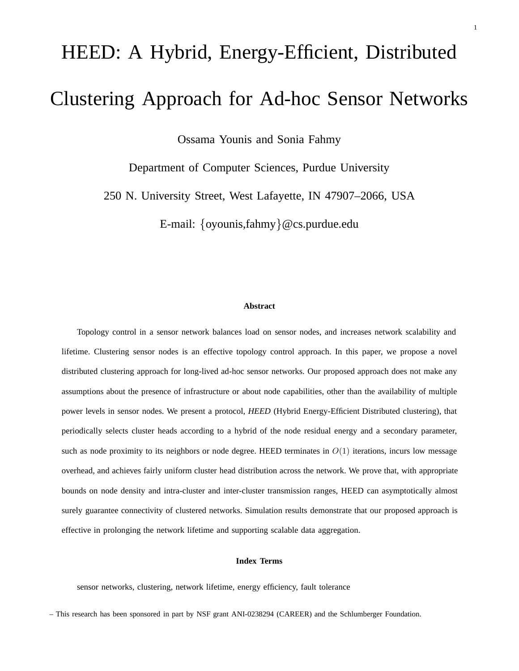# HEED: A Hybrid, Energy-Efficient, Distributed Clustering Approach for Ad-hoc Sensor Networks

Ossama Younis and Sonia Fahmy

Department of Computer Sciences, Purdue University

250 N. University Street, West Lafayette, IN 47907–2066, USA

E-mail: {oyounis,fahmy}@cs.purdue.edu

## **Abstract**

Topology control in a sensor network balances load on sensor nodes, and increases network scalability and lifetime. Clustering sensor nodes is an effective topology control approach. In this paper, we propose a novel distributed clustering approach for long-lived ad-hoc sensor networks. Our proposed approach does not make any assumptions about the presence of infrastructure or about node capabilities, other than the availability of multiple power levels in sensor nodes. We present a protocol, *HEED* (Hybrid Energy-Efficient Distributed clustering), that periodically selects cluster heads according to a hybrid of the node residual energy and a secondary parameter, such as node proximity to its neighbors or node degree. HEED terminates in  $O(1)$  iterations, incurs low message overhead, and achieves fairly uniform cluster head distribution across the network. We prove that, with appropriate bounds on node density and intra-cluster and inter-cluster transmission ranges, HEED can asymptotically almost surely guarantee connectivity of clustered networks. Simulation results demonstrate that our proposed approach is effective in prolonging the network lifetime and supporting scalable data aggregation.

## **Index Terms**

sensor networks, clustering, network lifetime, energy efficiency, fault tolerance

– This research has been sponsored in part by NSF grant ANI-0238294 (CAREER) and the Schlumberger Foundation.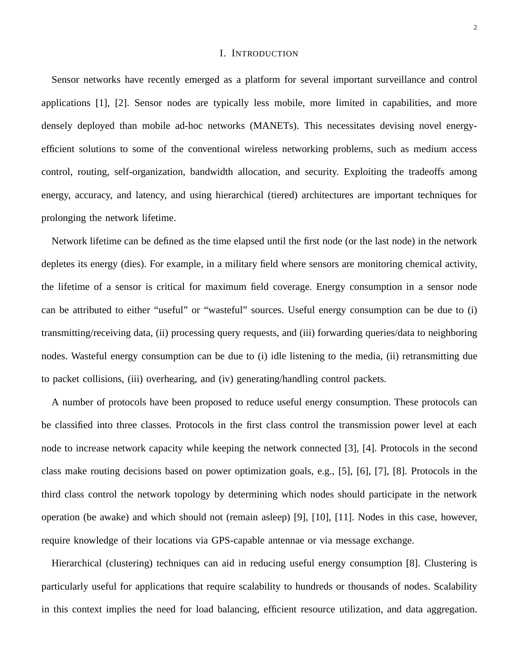## I. INTRODUCTION

Sensor networks have recently emerged as a platform for several important surveillance and control applications [1], [2]. Sensor nodes are typically less mobile, more limited in capabilities, and more densely deployed than mobile ad-hoc networks (MANETs). This necessitates devising novel energyefficient solutions to some of the conventional wireless networking problems, such as medium access control, routing, self-organization, bandwidth allocation, and security. Exploiting the tradeoffs among energy, accuracy, and latency, and using hierarchical (tiered) architectures are important techniques for prolonging the network lifetime.

Network lifetime can be defined as the time elapsed until the first node (or the last node) in the network depletes its energy (dies). For example, in a military field where sensors are monitoring chemical activity, the lifetime of a sensor is critical for maximum field coverage. Energy consumption in a sensor node can be attributed to either "useful" or "wasteful" sources. Useful energy consumption can be due to (i) transmitting/receiving data, (ii) processing query requests, and (iii) forwarding queries/data to neighboring nodes. Wasteful energy consumption can be due to (i) idle listening to the media, (ii) retransmitting due to packet collisions, (iii) overhearing, and (iv) generating/handling control packets.

A number of protocols have been proposed to reduce useful energy consumption. These protocols can be classified into three classes. Protocols in the first class control the transmission power level at each node to increase network capacity while keeping the network connected [3], [4]. Protocols in the second class make routing decisions based on power optimization goals, e.g., [5], [6], [7], [8]. Protocols in the third class control the network topology by determining which nodes should participate in the network operation (be awake) and which should not (remain asleep) [9], [10], [11]. Nodes in this case, however, require knowledge of their locations via GPS-capable antennae or via message exchange.

Hierarchical (clustering) techniques can aid in reducing useful energy consumption [8]. Clustering is particularly useful for applications that require scalability to hundreds or thousands of nodes. Scalability in this context implies the need for load balancing, efficient resource utilization, and data aggregation.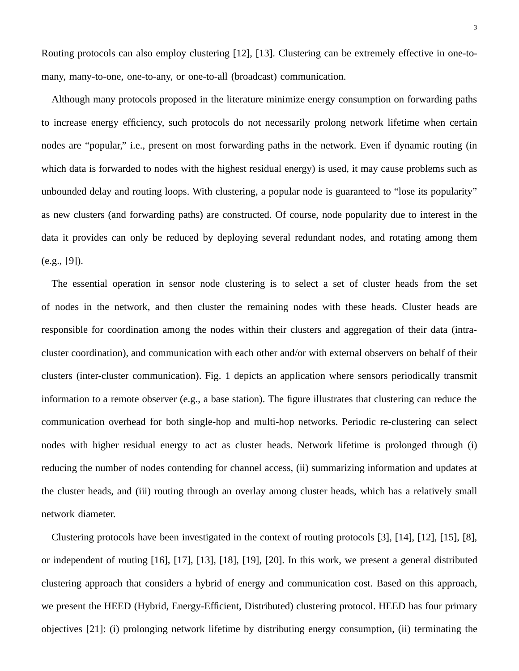Routing protocols can also employ clustering [12], [13]. Clustering can be extremely effective in one-tomany, many-to-one, one-to-any, or one-to-all (broadcast) communication.

Although many protocols proposed in the literature minimize energy consumption on forwarding paths to increase energy efficiency, such protocols do not necessarily prolong network lifetime when certain nodes are "popular," i.e., present on most forwarding paths in the network. Even if dynamic routing (in which data is forwarded to nodes with the highest residual energy) is used, it may cause problems such as unbounded delay and routing loops. With clustering, a popular node is guaranteed to "lose its popularity" as new clusters (and forwarding paths) are constructed. Of course, node popularity due to interest in the data it provides can only be reduced by deploying several redundant nodes, and rotating among them (e.g., [9]).

The essential operation in sensor node clustering is to select a set of cluster heads from the set of nodes in the network, and then cluster the remaining nodes with these heads. Cluster heads are responsible for coordination among the nodes within their clusters and aggregation of their data (intracluster coordination), and communication with each other and/or with external observers on behalf of their clusters (inter-cluster communication). Fig. 1 depicts an application where sensors periodically transmit information to a remote observer (e.g., a base station). The figure illustrates that clustering can reduce the communication overhead for both single-hop and multi-hop networks. Periodic re-clustering can select nodes with higher residual energy to act as cluster heads. Network lifetime is prolonged through (i) reducing the number of nodes contending for channel access, (ii) summarizing information and updates at the cluster heads, and (iii) routing through an overlay among cluster heads, which has a relatively small network diameter.

Clustering protocols have been investigated in the context of routing protocols [3], [14], [12], [15], [8], or independent of routing [16], [17], [13], [18], [19], [20]. In this work, we present a general distributed clustering approach that considers a hybrid of energy and communication cost. Based on this approach, we present the HEED (Hybrid, Energy-Efficient, Distributed) clustering protocol. HEED has four primary objectives [21]: (i) prolonging network lifetime by distributing energy consumption, (ii) terminating the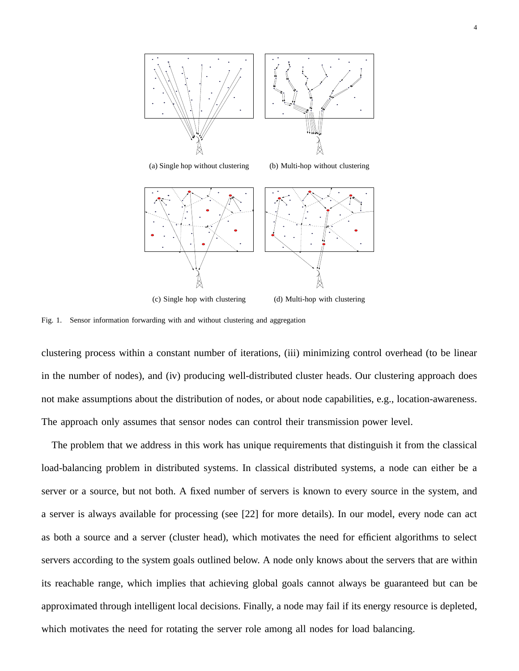

Fig. 1. Sensor information forwarding with and without clustering and aggregation

clustering process within a constant number of iterations, (iii) minimizing control overhead (to be linear in the number of nodes), and (iv) producing well-distributed cluster heads. Our clustering approach does not make assumptions about the distribution of nodes, or about node capabilities, e.g., location-awareness. The approach only assumes that sensor nodes can control their transmission power level.

The problem that we address in this work has unique requirements that distinguish it from the classical load-balancing problem in distributed systems. In classical distributed systems, a node can either be a server or a source, but not both. A fixed number of servers is known to every source in the system, and a server is always available for processing (see [22] for more details). In our model, every node can act as both a source and a server (cluster head), which motivates the need for efficient algorithms to select servers according to the system goals outlined below. A node only knows about the servers that are within its reachable range, which implies that achieving global goals cannot always be guaranteed but can be approximated through intelligent local decisions. Finally, a node may fail if its energy resource is depleted, which motivates the need for rotating the server role among all nodes for load balancing.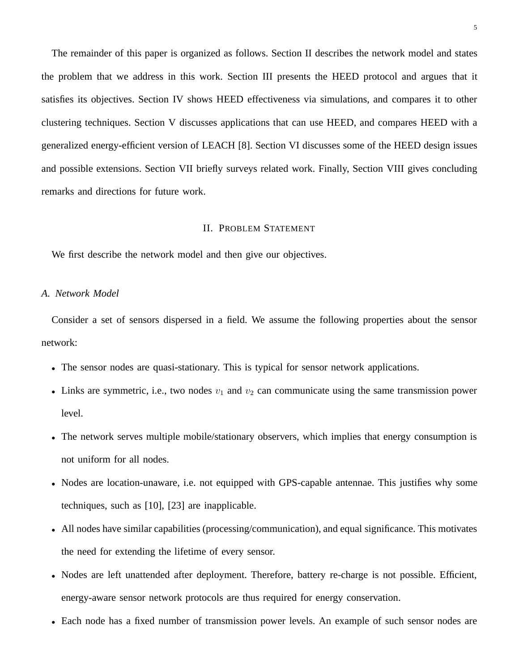The remainder of this paper is organized as follows. Section II describes the network model and states the problem that we address in this work. Section III presents the HEED protocol and argues that it satisfies its objectives. Section IV shows HEED effectiveness via simulations, and compares it to other clustering techniques. Section V discusses applications that can use HEED, and compares HEED with a generalized energy-efficient version of LEACH [8]. Section VI discusses some of the HEED design issues and possible extensions. Section VII briefly surveys related work. Finally, Section VIII gives concluding remarks and directions for future work.

# II. PROBLEM STATEMENT

We first describe the network model and then give our objectives.

## *A. Network Model*

Consider a set of sensors dispersed in a field. We assume the following properties about the sensor network:

- The sensor nodes are quasi-stationary. This is typical for sensor network applications.
- Links are symmetric, i.e., two nodes  $v_1$  and  $v_2$  can communicate using the same transmission power level.
- The network serves multiple mobile/stationary observers, which implies that energy consumption is not uniform for all nodes.
- Nodes are location-unaware, i.e. not equipped with GPS-capable antennae. This justifies why some techniques, such as [10], [23] are inapplicable.
- All nodes have similar capabilities (processing/communication), and equal significance. This motivates the need for extending the lifetime of every sensor.
- Nodes are left unattended after deployment. Therefore, battery re-charge is not possible. Efficient, energy-aware sensor network protocols are thus required for energy conservation.
- Each node has a fixed number of transmission power levels. An example of such sensor nodes are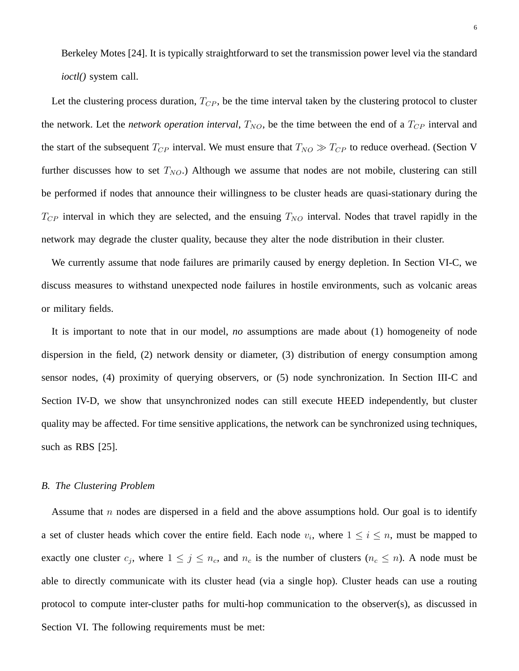Berkeley Motes [24]. It is typically straightforward to set the transmission power level via the standard *ioctl()* system call.

Let the clustering process duration,  $T_{CP}$ , be the time interval taken by the clustering protocol to cluster the network. Let the *network operation interval*,  $T_{NO}$ , be the time between the end of a  $T_{CP}$  interval and the start of the subsequent  $T_{CP}$  interval. We must ensure that  $T_{NO} \gg T_{CP}$  to reduce overhead. (Section V further discusses how to set  $T_{NO}$ .) Although we assume that nodes are not mobile, clustering can still be performed if nodes that announce their willingness to be cluster heads are quasi-stationary during the  $T_{CP}$  interval in which they are selected, and the ensuing  $T_{NO}$  interval. Nodes that travel rapidly in the network may degrade the cluster quality, because they alter the node distribution in their cluster.

We currently assume that node failures are primarily caused by energy depletion. In Section VI-C, we discuss measures to withstand unexpected node failures in hostile environments, such as volcanic areas or military fields.

It is important to note that in our model, *no* assumptions are made about (1) homogeneity of node dispersion in the field, (2) network density or diameter, (3) distribution of energy consumption among sensor nodes, (4) proximity of querying observers, or (5) node synchronization. In Section III-C and Section IV-D, we show that unsynchronized nodes can still execute HEED independently, but cluster quality may be affected. For time sensitive applications, the network can be synchronized using techniques, such as RBS [25].

## *B. The Clustering Problem*

Assume that  $n$  nodes are dispersed in a field and the above assumptions hold. Our goal is to identify a set of cluster heads which cover the entire field. Each node  $v_i$ , where  $1 \le i \le n$ , must be mapped to exactly one cluster  $c_j$ , where  $1 \le j \le n_c$ , and  $n_c$  is the number of clusters  $(n_c \le n)$ . A node must be able to directly communicate with its cluster head (via a single hop). Cluster heads can use a routing protocol to compute inter-cluster paths for multi-hop communication to the observer(s), as discussed in Section VI. The following requirements must be met: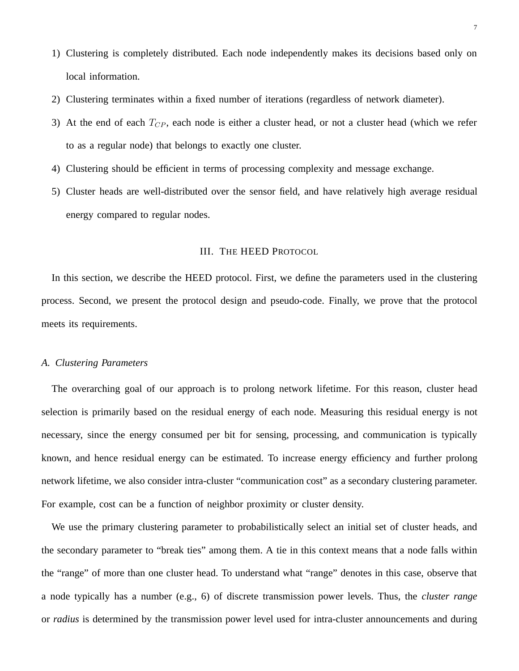- 1) Clustering is completely distributed. Each node independently makes its decisions based only on local information.
- 2) Clustering terminates within a fixed number of iterations (regardless of network diameter).
- 3) At the end of each  $T_{CP}$ , each node is either a cluster head, or not a cluster head (which we refer to as a regular node) that belongs to exactly one cluster.
- 4) Clustering should be efficient in terms of processing complexity and message exchange.
- 5) Cluster heads are well-distributed over the sensor field, and have relatively high average residual energy compared to regular nodes.

## III. THE HEED PROTOCOL

In this section, we describe the HEED protocol. First, we define the parameters used in the clustering process. Second, we present the protocol design and pseudo-code. Finally, we prove that the protocol meets its requirements.

# *A. Clustering Parameters*

The overarching goal of our approach is to prolong network lifetime. For this reason, cluster head selection is primarily based on the residual energy of each node. Measuring this residual energy is not necessary, since the energy consumed per bit for sensing, processing, and communication is typically known, and hence residual energy can be estimated. To increase energy efficiency and further prolong network lifetime, we also consider intra-cluster "communication cost" as a secondary clustering parameter. For example, cost can be a function of neighbor proximity or cluster density.

We use the primary clustering parameter to probabilistically select an initial set of cluster heads, and the secondary parameter to "break ties" among them. A tie in this context means that a node falls within the "range" of more than one cluster head. To understand what "range" denotes in this case, observe that a node typically has a number (e.g., 6) of discrete transmission power levels. Thus, the *cluster range* or *radius* is determined by the transmission power level used for intra-cluster announcements and during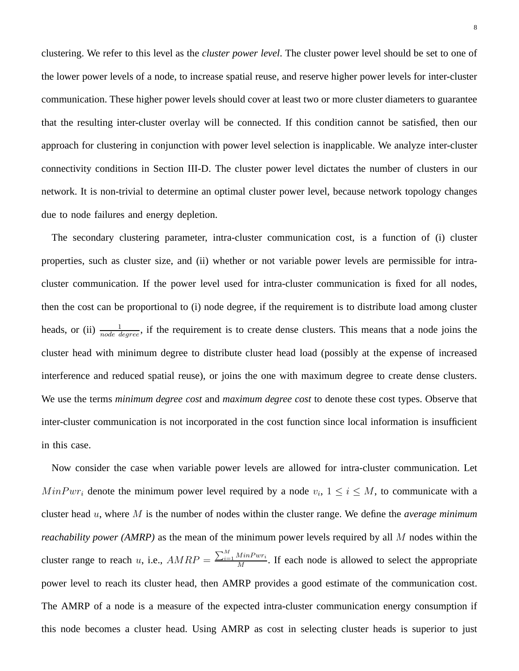clustering. We refer to this level as the *cluster power level*. The cluster power level should be set to one of the lower power levels of a node, to increase spatial reuse, and reserve higher power levels for inter-cluster communication. These higher power levels should cover at least two or more cluster diameters to guarantee that the resulting inter-cluster overlay will be connected. If this condition cannot be satisfied, then our approach for clustering in conjunction with power level selection is inapplicable. We analyze inter-cluster connectivity conditions in Section III-D. The cluster power level dictates the number of clusters in our network. It is non-trivial to determine an optimal cluster power level, because network topology changes due to node failures and energy depletion.

The secondary clustering parameter, intra-cluster communication cost, is a function of (i) cluster properties, such as cluster size, and (ii) whether or not variable power levels are permissible for intracluster communication. If the power level used for intra-cluster communication is fixed for all nodes, then the cost can be proportional to (i) node degree, if the requirement is to distribute load among cluster heads, or (ii)  $\frac{1}{node \ degree}$ , if the requirement is to create dense clusters. This means that a node joins the cluster head with minimum degree to distribute cluster head load (possibly at the expense of increased interference and reduced spatial reuse), or joins the one with maximum degree to create dense clusters. We use the terms *minimum degree cost* and *maximum degree cost* to denote these cost types. Observe that inter-cluster communication is not incorporated in the cost function since local information is insufficient in this case.

Now consider the case when variable power levels are allowed for intra-cluster communication. Let  $MinPwr_i$  denote the minimum power level required by a node  $v_i$ ,  $1 \le i \le M$ , to communicate with a cluster head u, where M is the number of nodes within the cluster range. We define the *average minimum reachability power (AMRP)* as the mean of the minimum power levels required by all M nodes within the cluster range to reach u, i.e.,  $AMRP = \frac{\sum_{i=1}^{M} MinPwr_i}{M}$ . If each node is allowed to select the appropriate power level to reach its cluster head, then AMRP provides a good estimate of the communication cost. The AMRP of a node is a measure of the expected intra-cluster communication energy consumption if this node becomes a cluster head. Using AMRP as cost in selecting cluster heads is superior to just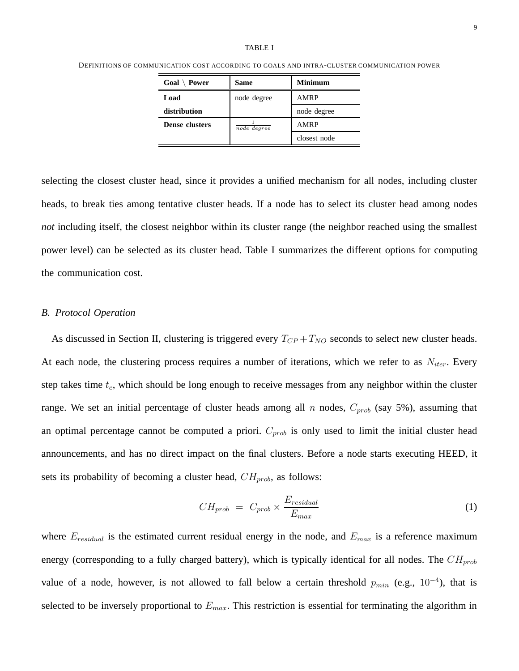| Goal \ Power          | <b>Same</b> | <b>Minimum</b> |
|-----------------------|-------------|----------------|
| Load                  | node degree | <b>AMRP</b>    |
| distribution          |             | node degree    |
| <b>Dense clusters</b> | node degree | <b>AMRP</b>    |
|                       |             | closest node   |

DEFINITIONS OF COMMUNICATION COST ACCORDING TO GOALS AND INTRA-CLUSTER COMMUNICATION POWER

selecting the closest cluster head, since it provides a unified mechanism for all nodes, including cluster heads, to break ties among tentative cluster heads. If a node has to select its cluster head among nodes *not* including itself, the closest neighbor within its cluster range (the neighbor reached using the smallest power level) can be selected as its cluster head. Table I summarizes the different options for computing the communication cost.

## *B. Protocol Operation*

As discussed in Section II, clustering is triggered every  $T_{CP} + T_{NO}$  seconds to select new cluster heads. At each node, the clustering process requires a number of iterations, which we refer to as  $N_{iter}$ . Every step takes time  $t_c$ , which should be long enough to receive messages from any neighbor within the cluster range. We set an initial percentage of cluster heads among all n nodes,  $C_{prob}$  (say 5%), assuming that an optimal percentage cannot be computed a priori.  $C_{prob}$  is only used to limit the initial cluster head announcements, and has no direct impact on the final clusters. Before a node starts executing HEED, it sets its probability of becoming a cluster head,  $CH_{prob}$ , as follows:

$$
CH_{prob} = C_{prob} \times \frac{E_{residual}}{E_{max}} \tag{1}
$$

where  $E_{residual}$  is the estimated current residual energy in the node, and  $E_{max}$  is a reference maximum energy (corresponding to a fully charged battery), which is typically identical for all nodes. The  $CH_{prob}$ value of a node, however, is not allowed to fall below a certain threshold  $p_{min}$  (e.g., 10<sup>-4</sup>), that is selected to be inversely proportional to  $E_{max}$ . This restriction is essential for terminating the algorithm in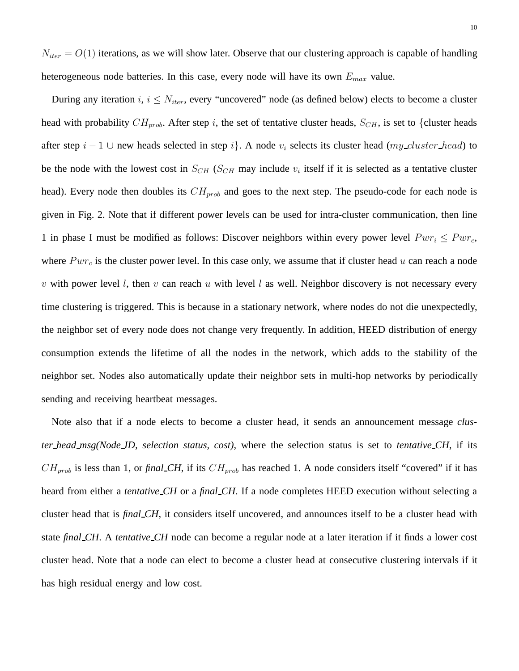$N_{iter} = O(1)$  iterations, as we will show later. Observe that our clustering approach is capable of handling heterogeneous node batteries. In this case, every node will have its own  $E_{max}$  value.

During any iteration i,  $i \leq N_{iter}$ , every "uncovered" node (as defined below) elects to become a cluster head with probability  $CH_{prob}$ . After step i, the set of tentative cluster heads,  $S_{CH}$ , is set to {cluster heads after step  $i - 1 \cup$  new heads selected in step i}. A node  $v_i$  selects its cluster head (my\_cluster\_head) to be the node with the lowest cost in  $S_{CH}$  ( $S_{CH}$  may include  $v_i$  itself if it is selected as a tentative cluster head). Every node then doubles its  $CH_{prob}$  and goes to the next step. The pseudo-code for each node is given in Fig. 2. Note that if different power levels can be used for intra-cluster communication, then line 1 in phase I must be modified as follows: Discover neighbors within every power level  $Pwr_i \leq Pwr_c$ , where  $Pwr_c$  is the cluster power level. In this case only, we assume that if cluster head u can reach a node v with power level l, then v can reach u with level l as well. Neighbor discovery is not necessary every time clustering is triggered. This is because in a stationary network, where nodes do not die unexpectedly, the neighbor set of every node does not change very frequently. In addition, HEED distribution of energy consumption extends the lifetime of all the nodes in the network, which adds to the stability of the neighbor set. Nodes also automatically update their neighbor sets in multi-hop networks by periodically sending and receiving heartbeat messages.

Note also that if a node elects to become a cluster head, it sends an announcement message *cluster head msg(Node ID, selection status, cost)*, where the selection status is set to *tentative CH*, if its  $CH_{prob}$  is less than 1, or *final CH*, if its  $CH_{prob}$  has reached 1. A node considers itself "covered" if it has heard from either a *tentative CH* or a *final CH*. If a node completes HEED execution without selecting a cluster head that is *final CH*, it considers itself uncovered, and announces itself to be a cluster head with state *final CH*. A *tentative CH* node can become a regular node at a later iteration if it finds a lower cost cluster head. Note that a node can elect to become a cluster head at consecutive clustering intervals if it has high residual energy and low cost.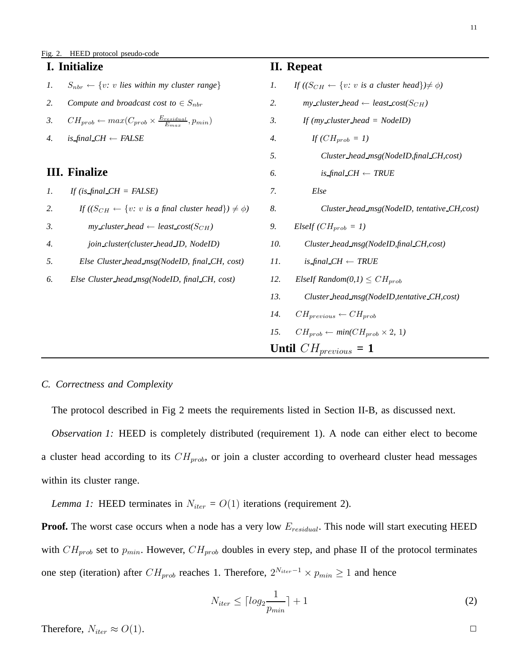| Fig. $2$ . | HEED protocol pseudo-code                                                         |                    |                                                                         |
|------------|-----------------------------------------------------------------------------------|--------------------|-------------------------------------------------------------------------|
|            | I. Initialize                                                                     |                    | II. Repeat                                                              |
| 1.         | $S_{nbr} \leftarrow \{v: v \text{ lies within my cluster range}\}\$               | 1.                 | If $((S_{CH} \leftarrow \{v: v \text{ is a cluster head}\}) \neq \phi)$ |
| 2.         | Compute and broadcast cost to $\in S_{nbr}$                                       | 2.                 | $my-cluster\ head \leftarrow least\ cost(S_{CH})$                       |
| 3.         | $CH_{prob} \leftarrow max(C_{prob} \times \frac{E_{residual}}{E_{max}}, p_{min})$ | $\mathfrak{Z}.$    | If (my cluster head = $NodeID)$                                         |
| 4.         | is_final_CH $\leftarrow$ FALSE                                                    | $\boldsymbol{4}$ . | If $(CH_{prob} = 1)$                                                    |
|            |                                                                                   | 5.                 | Cluster_head_msg(NodeID,final_CH,cost)                                  |
|            | <b>III.</b> Finalize                                                              | 6.                 | is final $CH \leftarrow TRUE$                                           |
| 1.         | If (is final $CH = FALSE$ )                                                       | 7.                 | Else                                                                    |
| 2.         | If $((S_{CH} \leftarrow \{v: v \text{ is a final cluster head}\}) \neq \phi)$     | 8.                 | Cluster_head_msg(NodeID, tentative_CH,cost)                             |
| 3.         | my_cluster_head $\leftarrow$ least_cost( $S_{CH}$ )                               | 9.                 | $Elself (CH_{prob} = 1)$                                                |
| 4.         | join_cluster(cluster_head_ID, NodeID)                                             | 10.                | Cluster_head_msg(NodeID,final_CH,cost)                                  |
| 5.         | Else Cluster_head_msg(NodeID, final_CH, cost)                                     | 11.                | is final $CH \leftarrow TRUE$                                           |
| 6.         | Else Cluster_head_msg(NodeID, final_CH, cost)                                     | 12.                | ElseIf Random(0,1) $\leq CH_{prob}$                                     |
|            |                                                                                   | 13.                | Cluster_head_msg(NodeID,tentative_CH,cost)                              |
|            |                                                                                   | 14.                | $CH_{previous} \leftarrow CH_{prob}$                                    |
|            |                                                                                   | 15.                | $CH_{prob} \leftarrow min(CH_{prob} \times 2, 1)$                       |
|            |                                                                                   |                    | Until $CH_{previous} = 1$                                               |

## *C. Correctness and Complexity*

The protocol described in Fig 2 meets the requirements listed in Section II-B, as discussed next.

*Observation 1:* HEED is completely distributed (requirement 1). A node can either elect to become a cluster head according to its  $CH_{prob}$ , or join a cluster according to overheard cluster head messages within its cluster range.

*Lemma 1:* HEED terminates in  $N_{iter} = O(1)$  iterations (requirement 2).

**Proof.** The worst case occurs when a node has a very low  $E_{residual}$ . This node will start executing HEED with  $CH_{prob}$  set to  $p_{min}$ . However,  $CH_{prob}$  doubles in every step, and phase II of the protocol terminates one step (iteration) after  $CH_{prob}$  reaches 1. Therefore,  $2^{N_{iter}-1} \times p_{min} \ge 1$  and hence

$$
N_{iter} \le \lceil \log_2 \frac{1}{p_{min}} \rceil + 1 \tag{2}
$$

Therefore,  $N_{iter} \approx O(1)$ .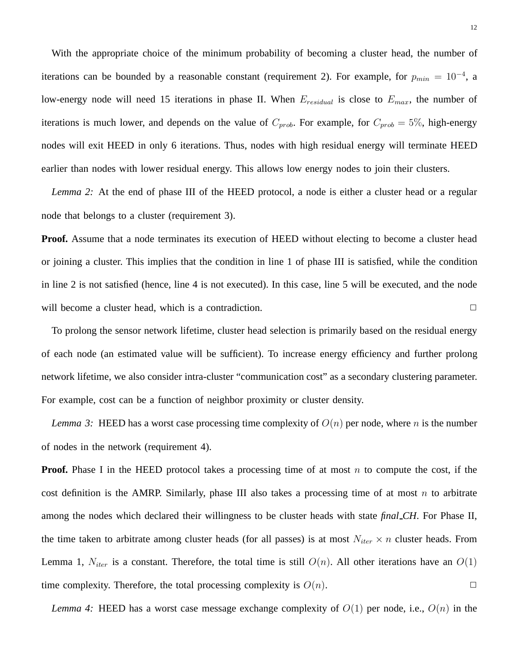With the appropriate choice of the minimum probability of becoming a cluster head, the number of iterations can be bounded by a reasonable constant (requirement 2). For example, for  $p_{min} = 10^{-4}$ , a low-energy node will need 15 iterations in phase II. When  $E_{residual}$  is close to  $E_{max}$ , the number of iterations is much lower, and depends on the value of  $C_{prob}$ . For example, for  $C_{prob} = 5\%$ , high-energy nodes will exit HEED in only 6 iterations. Thus, nodes with high residual energy will terminate HEED earlier than nodes with lower residual energy. This allows low energy nodes to join their clusters.

*Lemma 2:* At the end of phase III of the HEED protocol, a node is either a cluster head or a regular node that belongs to a cluster (requirement 3).

**Proof.** Assume that a node terminates its execution of HEED without electing to become a cluster head or joining a cluster. This implies that the condition in line 1 of phase III is satisfied, while the condition in line 2 is not satisfied (hence, line 4 is not executed). In this case, line 5 will be executed, and the node will become a cluster head, which is a contradiction.  $\Box$ 

To prolong the sensor network lifetime, cluster head selection is primarily based on the residual energy of each node (an estimated value will be sufficient). To increase energy efficiency and further prolong network lifetime, we also consider intra-cluster "communication cost" as a secondary clustering parameter. For example, cost can be a function of neighbor proximity or cluster density.

*Lemma 3:* HEED has a worst case processing time complexity of  $O(n)$  per node, where n is the number of nodes in the network (requirement 4).

**Proof.** Phase I in the HEED protocol takes a processing time of at most  $n$  to compute the cost, if the cost definition is the AMRP. Similarly, phase III also takes a processing time of at most  $n$  to arbitrate among the nodes which declared their willingness to be cluster heads with state *final CH*. For Phase II, the time taken to arbitrate among cluster heads (for all passes) is at most  $N_{iter} \times n$  cluster heads. From Lemma 1,  $N_{iter}$  is a constant. Therefore, the total time is still  $O(n)$ . All other iterations have an  $O(1)$ time complexity. Therefore, the total processing complexity is  $O(n)$ .

*Lemma 4:* HEED has a worst case message exchange complexity of  $O(1)$  per node, i.e.,  $O(n)$  in the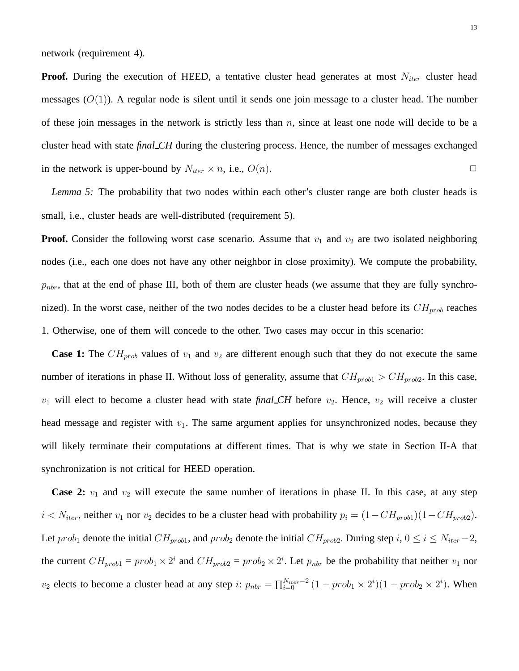network (requirement 4).

**Proof.** During the execution of HEED, a tentative cluster head generates at most  $N_{iter}$  cluster head messages  $(O(1))$ . A regular node is silent until it sends one join message to a cluster head. The number of these join messages in the network is strictly less than  $n$ , since at least one node will decide to be a cluster head with state *final CH* during the clustering process. Hence, the number of messages exchanged in the network is upper-bound by  $N_{iter} \times n$ , i.e.,  $O(n)$ .

*Lemma 5:* The probability that two nodes within each other's cluster range are both cluster heads is small, i.e., cluster heads are well-distributed (requirement 5).

**Proof.** Consider the following worst case scenario. Assume that  $v_1$  and  $v_2$  are two isolated neighboring nodes (i.e., each one does not have any other neighbor in close proximity). We compute the probability,  $p_{nbr}$ , that at the end of phase III, both of them are cluster heads (we assume that they are fully synchronized). In the worst case, neither of the two nodes decides to be a cluster head before its  $CH_{prob}$  reaches 1. Otherwise, one of them will concede to the other. Two cases may occur in this scenario:

**Case 1:** The  $CH_{prob}$  values of  $v_1$  and  $v_2$  are different enough such that they do not execute the same number of iterations in phase II. Without loss of generality, assume that  $CH_{prob1} > CH_{prob2}$ . In this case,  $v_1$  will elect to become a cluster head with state *final CH* before  $v_2$ . Hence,  $v_2$  will receive a cluster head message and register with  $v_1$ . The same argument applies for unsynchronized nodes, because they will likely terminate their computations at different times. That is why we state in Section II-A that synchronization is not critical for HEED operation.

**Case 2:**  $v_1$  and  $v_2$  will execute the same number of iterations in phase II. In this case, at any step  $i < N_{iter}$ , neither  $v_1$  nor  $v_2$  decides to be a cluster head with probability  $p_i = (1 - CH_{prob1})(1 - CH_{prob2})$ . Let prob<sub>1</sub> denote the initial  $CH_{prob1}$ , and prob<sub>2</sub> denote the initial  $CH_{prob2}$ . During step i,  $0 \le i \le N_{iter}-2$ , the current  $CH_{prob1} = prob_1 \times 2^i$  and  $CH_{prob2} = prob_2 \times 2^i$ . Let  $p_{nbr}$  be the probability that neither  $v_1$  nor  $v_2$  elects to become a cluster head at any step i:  $p_{nbr} = \prod_{i=0}^{N_{iter}-2} (1 - prob_1 \times 2^i)(1 - prob_2 \times 2^i)$ . When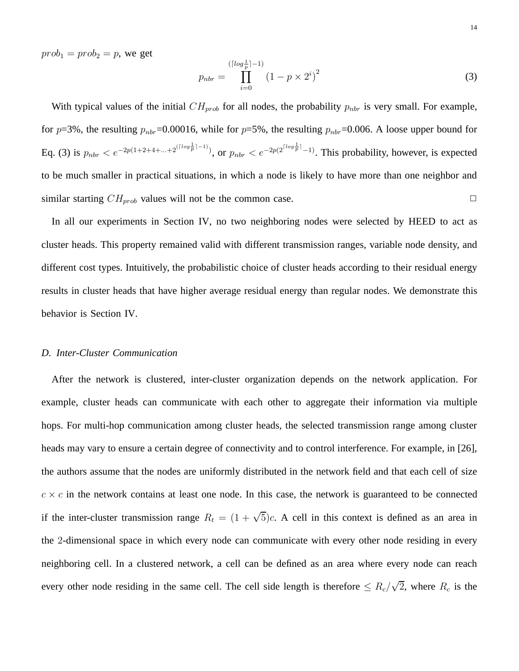$prob_1 = prob_2 = p$ , we get

$$
p_{nbr} = \prod_{i=0}^{(\lceil log \frac{1}{p} \rceil - 1)} \left(1 - p \times 2^i\right)^2 \tag{3}
$$

With typical values of the initial  $CH_{prob}$  for all nodes, the probability  $p_{nbr}$  is very small. For example, for  $p=3\%$ , the resulting  $p_{nbr}=0.00016$ , while for  $p=5\%$ , the resulting  $p_{nbr}=0.006$ . A loose upper bound for Eq. (3) is  $p_{nbr} < e^{-2p(1+2+4+\ldots+2^{(\lceil log \frac{1}{p} \rceil-1)})}$ , or  $p_{nbr} < e^{-2p(2^{\lceil log \frac{1}{p} \rceil}-1)}$ . This probability, however, is expected to be much smaller in practical situations, in which a node is likely to have more than one neighbor and similar starting  $CH_{prob}$  values will not be the common case.

In all our experiments in Section IV, no two neighboring nodes were selected by HEED to act as cluster heads. This property remained valid with different transmission ranges, variable node density, and different cost types. Intuitively, the probabilistic choice of cluster heads according to their residual energy results in cluster heads that have higher average residual energy than regular nodes. We demonstrate this behavior is Section IV.

## *D. Inter-Cluster Communication*

After the network is clustered, inter-cluster organization depends on the network application. For example, cluster heads can communicate with each other to aggregate their information via multiple hops. For multi-hop communication among cluster heads, the selected transmission range among cluster heads may vary to ensure a certain degree of connectivity and to control interference. For example, in [26], the authors assume that the nodes are uniformly distributed in the network field and that each cell of size  $c \times c$  in the network contains at least one node. In this case, the network is guaranteed to be connected if the inter-cluster transmission range  $R_t = (1 + \sqrt{5})c$ . A cell in this context is defined as an area in the 2-dimensional space in which every node can communicate with every other node residing in every neighboring cell. In a clustered network, a cell can be defined as an area where every node can reach every other node residing in the same cell. The cell side length is therefore  $\leq R_c/\sqrt{2}$ , where  $R_c$  is the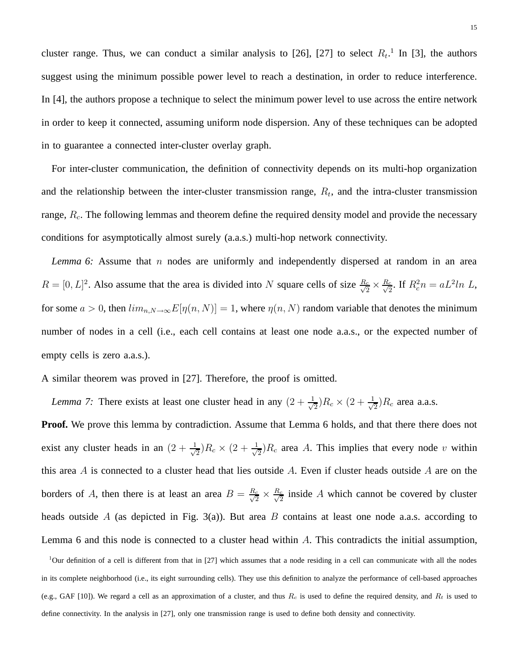cluster range. Thus, we can conduct a similar analysis to [26], [27] to select  $R_t$ .<sup>1</sup> In [3], the authors suggest using the minimum possible power level to reach a destination, in order to reduce interference. In [4], the authors propose a technique to select the minimum power level to use across the entire network in order to keep it connected, assuming uniform node dispersion. Any of these techniques can be adopted in to guarantee a connected inter-cluster overlay graph.

For inter-cluster communication, the definition of connectivity depends on its multi-hop organization and the relationship between the inter-cluster transmission range,  $R_t$ , and the intra-cluster transmission range,  $R_c$ . The following lemmas and theorem define the required density model and provide the necessary conditions for asymptotically almost surely (a.a.s.) multi-hop network connectivity.

*Lemma 6:* Assume that n nodes are uniformly and independently dispersed at random in an area  $R = [0, L]^2$ . Also assume that the area is divided into N square cells of size  $\frac{R_c}{\sqrt{2}} \times \frac{R_c}{\sqrt{2}}$ . If  $R_c^2 n = aL^2 ln L$ , for some  $a > 0$ , then  $\lim_{n,N \to \infty} E[\eta(n,N)] = 1$ , where  $\eta(n,N)$  random variable that denotes the minimum number of nodes in a cell (i.e., each cell contains at least one node a.a.s., or the expected number of empty cells is zero a.a.s.).

A similar theorem was proved in [27]. Therefore, the proof is omitted.

*Lemma 7:* There exists at least one cluster head in any  $(2 + \frac{1}{\sqrt{2}})R_c \times (2 + \frac{1}{\sqrt{2}})R_c$  area a.a.s.

**Proof.** We prove this lemma by contradiction. Assume that Lemma 6 holds, and that there there does not exist any cluster heads in an  $(2 + \frac{1}{\sqrt{2}})R_c \times (2 + \frac{1}{\sqrt{2}})R_c$  area A. This implies that every node v within this area A is connected to a cluster head that lies outside A. Even if cluster heads outside A are on the borders of A, then there is at least an area  $B = \frac{R_c}{\sqrt{2}} \times \frac{R_c}{\sqrt{2}}$  inside A which cannot be covered by cluster heads outside A (as depicted in Fig. 3(a)). But area B contains at least one node a.a.s. according to Lemma 6 and this node is connected to a cluster head within A. This contradicts the initial assumption,

<sup>1</sup>Our definition of a cell is different from that in [27] which assumes that a node residing in a cell can communicate with all the nodes in its complete neighborhood (i.e., its eight surrounding cells). They use this definition to analyze the performance of cell-based approaches (e.g., GAF [10]). We regard a cell as an approximation of a cluster, and thus  $R_c$  is used to define the required density, and  $R_t$  is used to define connectivity. In the analysis in [27], only one transmission range is used to define both density and connectivity.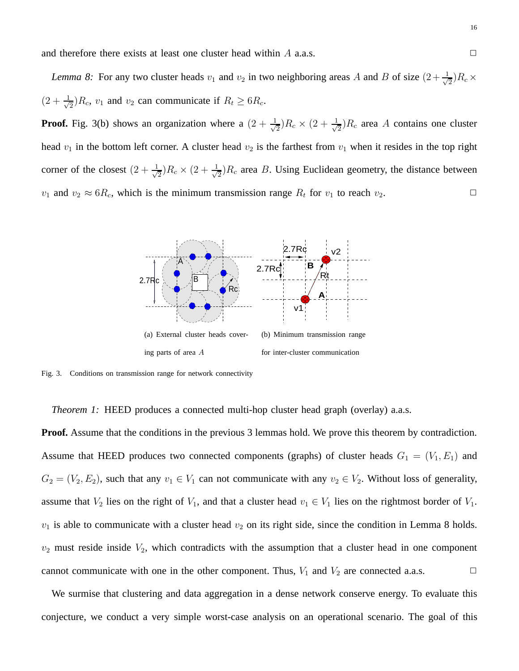*Lemma 8:* For any two cluster heads  $v_1$  and  $v_2$  in two neighboring areas A and B of size  $(2 + \frac{1}{\sqrt{2}})R_c \times$  $(2 + \frac{1}{\sqrt{2}})R_c$ ,  $v_1$  and  $v_2$  can communicate if  $R_t \ge 6R_c$ .

**Proof.** Fig. 3(b) shows an organization where a  $(2 + \frac{1}{\sqrt{2}})R_c \times (2 + \frac{1}{\sqrt{2}})R_c$  area A contains one cluster head  $v_1$  in the bottom left corner. A cluster head  $v_2$  is the farthest from  $v_1$  when it resides in the top right corner of the closest  $(2 + \frac{1}{\sqrt{2}})R_c \times (2 + \frac{1}{\sqrt{2}})R_c$  area B. Using Euclidean geometry, the distance between  $v_1$  and  $v_2 \approx 6R_c$ , which is the minimum transmission range  $R_t$  for  $v_1$  to reach  $v_2$ .



Fig. 3. Conditions on transmission range for network connectivity

*Theorem 1:* HEED produces a connected multi-hop cluster head graph (overlay) a.a.s.

**Proof.** Assume that the conditions in the previous 3 lemmas hold. We prove this theorem by contradiction. Assume that HEED produces two connected components (graphs) of cluster heads  $G_1 = (V_1, E_1)$  and  $G_2 = (V_2, E_2)$ , such that any  $v_1 \in V_1$  can not communicate with any  $v_2 \in V_2$ . Without loss of generality, assume that  $V_2$  lies on the right of  $V_1$ , and that a cluster head  $v_1 \in V_1$  lies on the rightmost border of  $V_1$ .  $v_1$  is able to communicate with a cluster head  $v_2$  on its right side, since the condition in Lemma 8 holds.  $v_2$  must reside inside  $V_2$ , which contradicts with the assumption that a cluster head in one component cannot communicate with one in the other component. Thus,  $V_1$  and  $V_2$  are connected a.a.s.

We surmise that clustering and data aggregation in a dense network conserve energy. To evaluate this conjecture, we conduct a very simple worst-case analysis on an operational scenario. The goal of this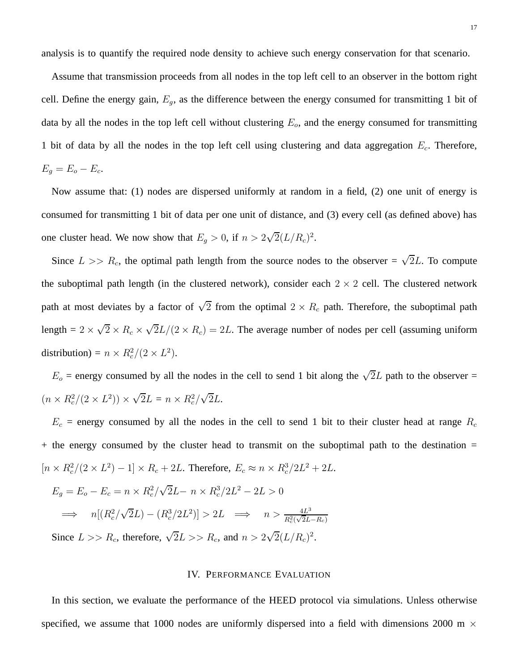analysis is to quantify the required node density to achieve such energy conservation for that scenario.

Assume that transmission proceeds from all nodes in the top left cell to an observer in the bottom right cell. Define the energy gain,  $E_g$ , as the difference between the energy consumed for transmitting 1 bit of data by all the nodes in the top left cell without clustering  $E<sub>o</sub>$ , and the energy consumed for transmitting 1 bit of data by all the nodes in the top left cell using clustering and data aggregation  $E<sub>c</sub>$ . Therefore,  $E_g = E_o - E_c.$ 

Now assume that: (1) nodes are dispersed uniformly at random in a field, (2) one unit of energy is consumed for transmitting 1 bit of data per one unit of distance, and (3) every cell (as defined above) has one cluster head. We now show that  $E_g > 0$ , if  $n > 2\sqrt{2}(L/R_c)^2$ .

Since  $L >> R_c$ , the optimal path length from the source nodes to the observer =  $\sqrt{2}L$ . To compute the suboptimal path length (in the clustered network), consider each  $2 \times 2$  cell. The clustered network path at most deviates by a factor of  $\sqrt{2}$  from the optimal  $2 \times R_c$  path. Therefore, the suboptimal path length =  $2 \times \sqrt{2} \times R_c \times \sqrt{2}L/(2 \times R_c) = 2L$ . The average number of nodes per cell (assuming uniform distribution) =  $n \times R_c^2/(2 \times L^2)$ .

 $E_o$  = energy consumed by all the nodes in the cell to send 1 bit along the  $\sqrt{2}L$  path to the observer =  $(n \times R_c^2/(2 \times L^2)) \times \sqrt{2}L = n \times R_c^2/\sqrt{2}L.$ 

 $E_c$  = energy consumed by all the nodes in the cell to send 1 bit to their cluster head at range  $R_c$  $+$  the energy consumed by the cluster head to transmit on the suboptimal path to the destination  $=$  $[n \times R_c^2/(2 \times L^2) - 1] \times R_c + 2L$ . Therefore,  $E_c \approx n \times R_c^3/2L^2 + 2L$ .

$$
E_g = E_o - E_c = n \times R_c^2 / \sqrt{2}L - n \times R_c^3 / 2L^2 - 2L > 0
$$
  
\n
$$
\implies n[(R_c^2 / \sqrt{2}L) - (R_c^3 / 2L^2)] > 2L \implies n > \frac{4L^3}{R_c^2 (\sqrt{2}L - R_c)}
$$
  
\nSince  $L >> R_c$ , therefore,  $\sqrt{2}L >> R_c$ , and  $n > 2\sqrt{2}(L/R_c)^2$ .

## IV. PERFORMANCE EVALUATION

In this section, we evaluate the performance of the HEED protocol via simulations. Unless otherwise specified, we assume that 1000 nodes are uniformly dispersed into a field with dimensions 2000 m  $\times$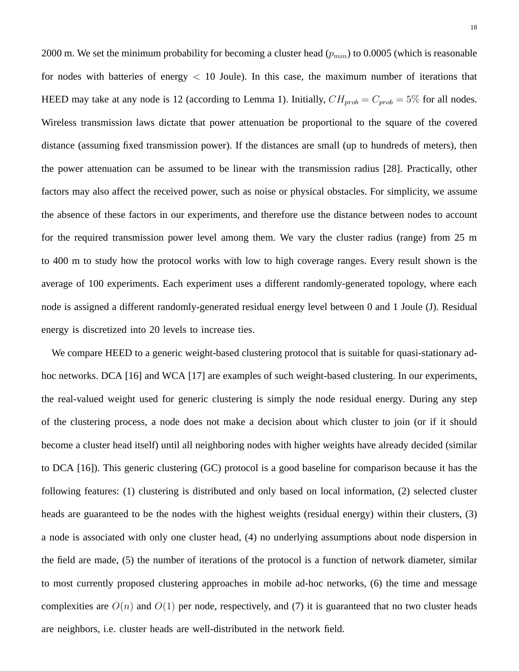2000 m. We set the minimum probability for becoming a cluster head  $(p_{min})$  to 0.0005 (which is reasonable for nodes with batteries of energy  $< 10$  Joule). In this case, the maximum number of iterations that HEED may take at any node is 12 (according to Lemma 1). Initially,  $CH_{prob} = C_{prob} = 5\%$  for all nodes. Wireless transmission laws dictate that power attenuation be proportional to the square of the covered distance (assuming fixed transmission power). If the distances are small (up to hundreds of meters), then the power attenuation can be assumed to be linear with the transmission radius [28]. Practically, other factors may also affect the received power, such as noise or physical obstacles. For simplicity, we assume the absence of these factors in our experiments, and therefore use the distance between nodes to account for the required transmission power level among them. We vary the cluster radius (range) from 25 m to 400 m to study how the protocol works with low to high coverage ranges. Every result shown is the average of 100 experiments. Each experiment uses a different randomly-generated topology, where each node is assigned a different randomly-generated residual energy level between 0 and 1 Joule (J). Residual energy is discretized into 20 levels to increase ties.

We compare HEED to a generic weight-based clustering protocol that is suitable for quasi-stationary adhoc networks. DCA [16] and WCA [17] are examples of such weight-based clustering. In our experiments, the real-valued weight used for generic clustering is simply the node residual energy. During any step of the clustering process, a node does not make a decision about which cluster to join (or if it should become a cluster head itself) until all neighboring nodes with higher weights have already decided (similar to DCA [16]). This generic clustering (GC) protocol is a good baseline for comparison because it has the following features: (1) clustering is distributed and only based on local information, (2) selected cluster heads are guaranteed to be the nodes with the highest weights (residual energy) within their clusters, (3) a node is associated with only one cluster head, (4) no underlying assumptions about node dispersion in the field are made, (5) the number of iterations of the protocol is a function of network diameter, similar to most currently proposed clustering approaches in mobile ad-hoc networks, (6) the time and message complexities are  $O(n)$  and  $O(1)$  per node, respectively, and (7) it is guaranteed that no two cluster heads are neighbors, i.e. cluster heads are well-distributed in the network field.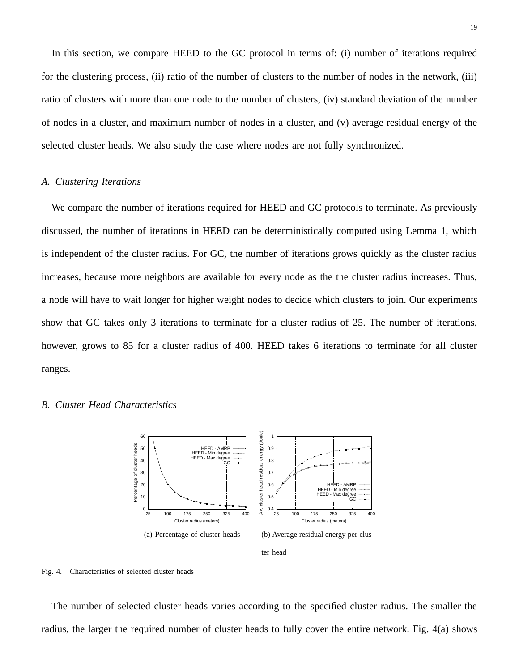In this section, we compare HEED to the GC protocol in terms of: (i) number of iterations required for the clustering process, (ii) ratio of the number of clusters to the number of nodes in the network, (iii) ratio of clusters with more than one node to the number of clusters, (iv) standard deviation of the number of nodes in a cluster, and maximum number of nodes in a cluster, and (v) average residual energy of the selected cluster heads. We also study the case where nodes are not fully synchronized.

## *A. Clustering Iterations*

We compare the number of iterations required for HEED and GC protocols to terminate. As previously discussed, the number of iterations in HEED can be deterministically computed using Lemma 1, which is independent of the cluster radius. For GC, the number of iterations grows quickly as the cluster radius increases, because more neighbors are available for every node as the the cluster radius increases. Thus, a node will have to wait longer for higher weight nodes to decide which clusters to join. Our experiments show that GC takes only 3 iterations to terminate for a cluster radius of 25. The number of iterations, however, grows to 85 for a cluster radius of 400. HEED takes 6 iterations to terminate for all cluster ranges.

## *B. Cluster Head Characteristics*



#### Fig. 4. Characteristics of selected cluster heads

The number of selected cluster heads varies according to the specified cluster radius. The smaller the radius, the larger the required number of cluster heads to fully cover the entire network. Fig. 4(a) shows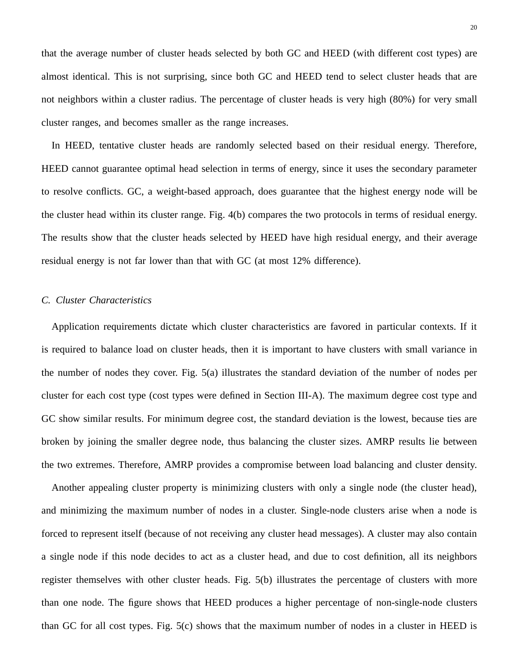that the average number of cluster heads selected by both GC and HEED (with different cost types) are almost identical. This is not surprising, since both GC and HEED tend to select cluster heads that are not neighbors within a cluster radius. The percentage of cluster heads is very high (80%) for very small cluster ranges, and becomes smaller as the range increases.

In HEED, tentative cluster heads are randomly selected based on their residual energy. Therefore, HEED cannot guarantee optimal head selection in terms of energy, since it uses the secondary parameter to resolve conflicts. GC, a weight-based approach, does guarantee that the highest energy node will be the cluster head within its cluster range. Fig. 4(b) compares the two protocols in terms of residual energy. The results show that the cluster heads selected by HEED have high residual energy, and their average residual energy is not far lower than that with GC (at most 12% difference).

# *C. Cluster Characteristics*

Application requirements dictate which cluster characteristics are favored in particular contexts. If it is required to balance load on cluster heads, then it is important to have clusters with small variance in the number of nodes they cover. Fig. 5(a) illustrates the standard deviation of the number of nodes per cluster for each cost type (cost types were defined in Section III-A). The maximum degree cost type and GC show similar results. For minimum degree cost, the standard deviation is the lowest, because ties are broken by joining the smaller degree node, thus balancing the cluster sizes. AMRP results lie between the two extremes. Therefore, AMRP provides a compromise between load balancing and cluster density.

Another appealing cluster property is minimizing clusters with only a single node (the cluster head), and minimizing the maximum number of nodes in a cluster. Single-node clusters arise when a node is forced to represent itself (because of not receiving any cluster head messages). A cluster may also contain a single node if this node decides to act as a cluster head, and due to cost definition, all its neighbors register themselves with other cluster heads. Fig. 5(b) illustrates the percentage of clusters with more than one node. The figure shows that HEED produces a higher percentage of non-single-node clusters than GC for all cost types. Fig. 5(c) shows that the maximum number of nodes in a cluster in HEED is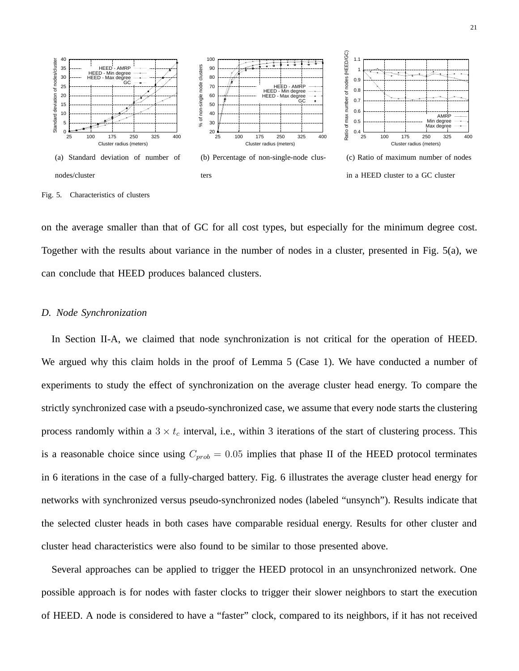21



Fig. 5. Characteristics of clusters

on the average smaller than that of GC for all cost types, but especially for the minimum degree cost. Together with the results about variance in the number of nodes in a cluster, presented in Fig. 5(a), we can conclude that HEED produces balanced clusters.

## *D. Node Synchronization*

In Section II-A, we claimed that node synchronization is not critical for the operation of HEED. We argued why this claim holds in the proof of Lemma 5 (Case 1). We have conducted a number of experiments to study the effect of synchronization on the average cluster head energy. To compare the strictly synchronized case with a pseudo-synchronized case, we assume that every node starts the clustering process randomly within a  $3 \times t_c$  interval, i.e., within 3 iterations of the start of clustering process. This is a reasonable choice since using  $C_{prob} = 0.05$  implies that phase II of the HEED protocol terminates in 6 iterations in the case of a fully-charged battery. Fig. 6 illustrates the average cluster head energy for networks with synchronized versus pseudo-synchronized nodes (labeled "unsynch"). Results indicate that the selected cluster heads in both cases have comparable residual energy. Results for other cluster and cluster head characteristics were also found to be similar to those presented above.

Several approaches can be applied to trigger the HEED protocol in an unsynchronized network. One possible approach is for nodes with faster clocks to trigger their slower neighbors to start the execution of HEED. A node is considered to have a "faster" clock, compared to its neighbors, if it has not received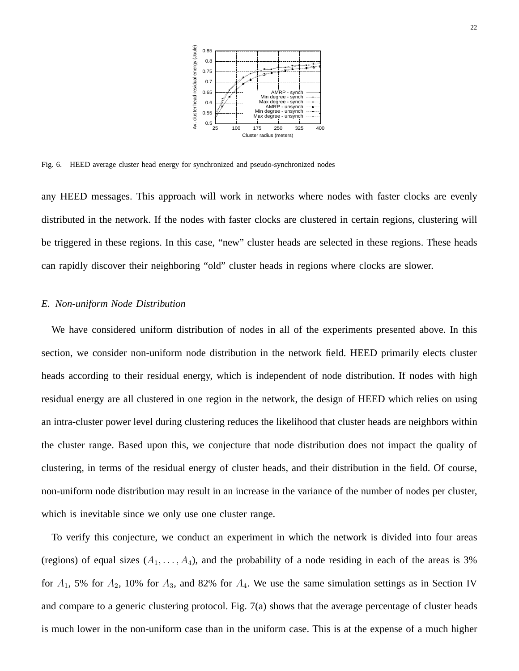

Fig. 6. HEED average cluster head energy for synchronized and pseudo-synchronized nodes

any HEED messages. This approach will work in networks where nodes with faster clocks are evenly distributed in the network. If the nodes with faster clocks are clustered in certain regions, clustering will be triggered in these regions. In this case, "new" cluster heads are selected in these regions. These heads can rapidly discover their neighboring "old" cluster heads in regions where clocks are slower.

## *E. Non-uniform Node Distribution*

We have considered uniform distribution of nodes in all of the experiments presented above. In this section, we consider non-uniform node distribution in the network field. HEED primarily elects cluster heads according to their residual energy, which is independent of node distribution. If nodes with high residual energy are all clustered in one region in the network, the design of HEED which relies on using an intra-cluster power level during clustering reduces the likelihood that cluster heads are neighbors within the cluster range. Based upon this, we conjecture that node distribution does not impact the quality of clustering, in terms of the residual energy of cluster heads, and their distribution in the field. Of course, non-uniform node distribution may result in an increase in the variance of the number of nodes per cluster, which is inevitable since we only use one cluster range.

To verify this conjecture, we conduct an experiment in which the network is divided into four areas (regions) of equal sizes  $(A_1, \ldots, A_4)$ , and the probability of a node residing in each of the areas is 3% for  $A_1$ , 5% for  $A_2$ , 10% for  $A_3$ , and 82% for  $A_4$ . We use the same simulation settings as in Section IV and compare to a generic clustering protocol. Fig. 7(a) shows that the average percentage of cluster heads is much lower in the non-uniform case than in the uniform case. This is at the expense of a much higher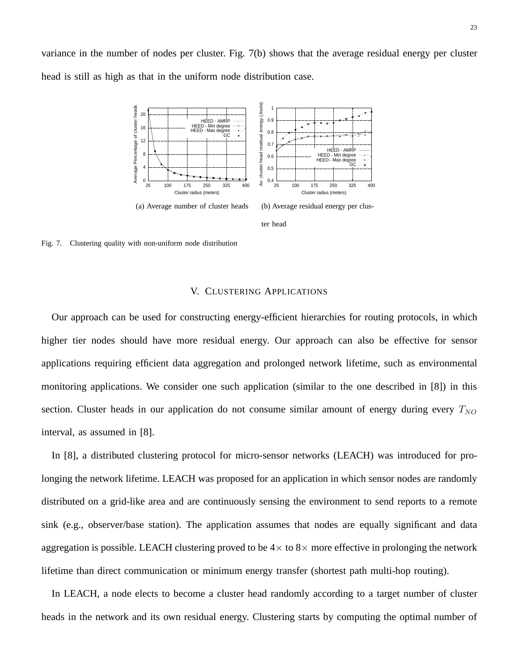variance in the number of nodes per cluster. Fig. 7(b) shows that the average residual energy per cluster head is still as high as that in the uniform node distribution case.



Fig. 7. Clustering quality with non-uniform node distribution

## V. CLUSTERING APPLICATIONS

Our approach can be used for constructing energy-efficient hierarchies for routing protocols, in which higher tier nodes should have more residual energy. Our approach can also be effective for sensor applications requiring efficient data aggregation and prolonged network lifetime, such as environmental monitoring applications. We consider one such application (similar to the one described in [8]) in this section. Cluster heads in our application do not consume similar amount of energy during every  $T_{NO}$ interval, as assumed in [8].

In [8], a distributed clustering protocol for micro-sensor networks (LEACH) was introduced for prolonging the network lifetime. LEACH was proposed for an application in which sensor nodes are randomly distributed on a grid-like area and are continuously sensing the environment to send reports to a remote sink (e.g., observer/base station). The application assumes that nodes are equally significant and data aggregation is possible. LEACH clustering proved to be  $4\times$  to  $8\times$  more effective in prolonging the network lifetime than direct communication or minimum energy transfer (shortest path multi-hop routing).

In LEACH, a node elects to become a cluster head randomly according to a target number of cluster heads in the network and its own residual energy. Clustering starts by computing the optimal number of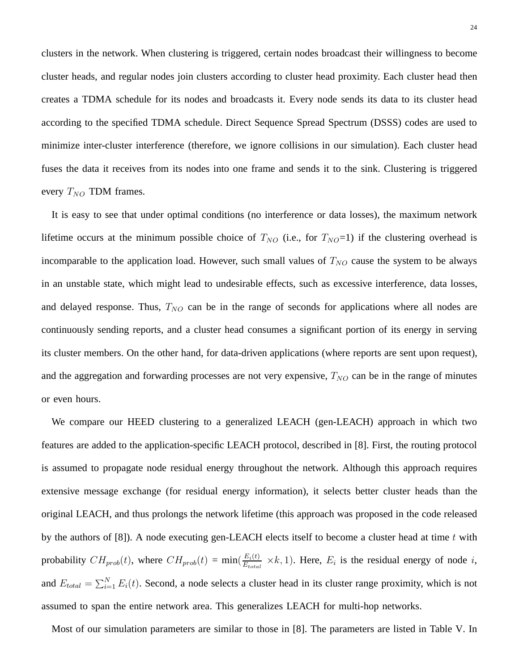clusters in the network. When clustering is triggered, certain nodes broadcast their willingness to become cluster heads, and regular nodes join clusters according to cluster head proximity. Each cluster head then creates a TDMA schedule for its nodes and broadcasts it. Every node sends its data to its cluster head according to the specified TDMA schedule. Direct Sequence Spread Spectrum (DSSS) codes are used to minimize inter-cluster interference (therefore, we ignore collisions in our simulation). Each cluster head fuses the data it receives from its nodes into one frame and sends it to the sink. Clustering is triggered every  $T_{NO}$  TDM frames.

It is easy to see that under optimal conditions (no interference or data losses), the maximum network lifetime occurs at the minimum possible choice of  $T_{NO}$  (i.e., for  $T_{NO}=1$ ) if the clustering overhead is incomparable to the application load. However, such small values of  $T_{NO}$  cause the system to be always in an unstable state, which might lead to undesirable effects, such as excessive interference, data losses, and delayed response. Thus,  $T_{NO}$  can be in the range of seconds for applications where all nodes are continuously sending reports, and a cluster head consumes a significant portion of its energy in serving its cluster members. On the other hand, for data-driven applications (where reports are sent upon request), and the aggregation and forwarding processes are not very expensive,  $T_{NO}$  can be in the range of minutes or even hours.

We compare our HEED clustering to a generalized LEACH (gen-LEACH) approach in which two features are added to the application-specific LEACH protocol, described in [8]. First, the routing protocol is assumed to propagate node residual energy throughout the network. Although this approach requires extensive message exchange (for residual energy information), it selects better cluster heads than the original LEACH, and thus prolongs the network lifetime (this approach was proposed in the code released by the authors of [8]). A node executing gen-LEACH elects itself to become a cluster head at time  $t$  with probability  $CH_{prob}(t)$ , where  $CH_{prob}(t) = min(\frac{E_i(t)}{E_{total}} \times k, 1)$ . Here,  $E_i$  is the residual energy of node i, and  $E_{total} = \sum_{i=1}^{N} E_i(t)$ . Second, a node selects a cluster head in its cluster range proximity, which is not assumed to span the entire network area. This generalizes LEACH for multi-hop networks.

Most of our simulation parameters are similar to those in [8]. The parameters are listed in Table V. In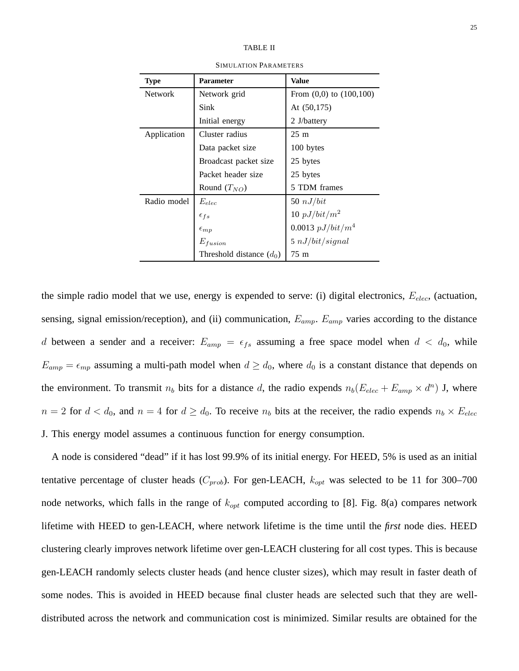#### TABLE II

| <b>Type</b>    | <b>Parameter</b>           | Value                       |
|----------------|----------------------------|-----------------------------|
| <b>Network</b> | Network grid               | From $(0,0)$ to $(100,100)$ |
|                | Sink                       | At $(50, 175)$              |
|                | Initial energy             | 2 J/battery                 |
| Application    | Cluster radius             | $25 \text{ m}$              |
|                | Data packet size           | 100 bytes                   |
|                | Broadcast packet size      | 25 bytes                    |
|                | Packet header size         | 25 bytes                    |
|                | Round $(T_{NO})$           | 5 TDM frames                |
| Radio model    | $E_{elec}$                 | 50 $nJ/bit$                 |
|                | $\epsilon_{fs}$            | 10 $pJ/bit/m^2$             |
|                | $\epsilon_{mp}$            | 0.0013 $pJ/bit/m^4$         |
|                | $E_{fusion}$               | 5 nJ/bit/signal             |
|                | Threshold distance $(d_0)$ | 75 m                        |

SIMULATION PARAMETERS

the simple radio model that we use, energy is expended to serve: (i) digital electronics,  $E_{elec}$ , (actuation, sensing, signal emission/reception), and (ii) communication,  $E_{amp}$ .  $E_{amp}$  varies according to the distance d between a sender and a receiver:  $E_{amp} = \epsilon_{fs}$  assuming a free space model when  $d < d_0$ , while  $E_{amp} = \epsilon_{mp}$  assuming a multi-path model when  $d \geq d_0$ , where  $d_0$  is a constant distance that depends on the environment. To transmit  $n_b$  bits for a distance d, the radio expends  $n_b(E_{elec} + E_{amp} \times d^n)$  J, where  $n = 2$  for  $d < d_0$ , and  $n = 4$  for  $d \geq d_0$ . To receive  $n_b$  bits at the receiver, the radio expends  $n_b \times E_{elec}$ J. This energy model assumes a continuous function for energy consumption.

A node is considered "dead" if it has lost 99.9% of its initial energy. For HEED, 5% is used as an initial tentative percentage of cluster heads ( $C_{prob}$ ). For gen-LEACH,  $k_{opt}$  was selected to be 11 for 300–700 node networks, which falls in the range of  $k_{opt}$  computed according to [8]. Fig. 8(a) compares network lifetime with HEED to gen-LEACH, where network lifetime is the time until the *first* node dies. HEED clustering clearly improves network lifetime over gen-LEACH clustering for all cost types. This is because gen-LEACH randomly selects cluster heads (and hence cluster sizes), which may result in faster death of some nodes. This is avoided in HEED because final cluster heads are selected such that they are welldistributed across the network and communication cost is minimized. Similar results are obtained for the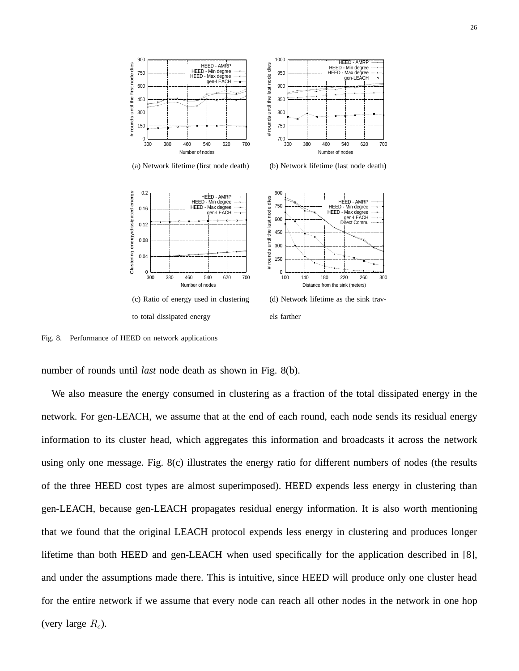

Fig. 8. Performance of HEED on network applications

number of rounds until *last* node death as shown in Fig. 8(b).

We also measure the energy consumed in clustering as a fraction of the total dissipated energy in the network. For gen-LEACH, we assume that at the end of each round, each node sends its residual energy information to its cluster head, which aggregates this information and broadcasts it across the network using only one message. Fig. 8(c) illustrates the energy ratio for different numbers of nodes (the results of the three HEED cost types are almost superimposed). HEED expends less energy in clustering than gen-LEACH, because gen-LEACH propagates residual energy information. It is also worth mentioning that we found that the original LEACH protocol expends less energy in clustering and produces longer lifetime than both HEED and gen-LEACH when used specifically for the application described in [8], and under the assumptions made there. This is intuitive, since HEED will produce only one cluster head for the entire network if we assume that every node can reach all other nodes in the network in one hop (very large  $R_c$ ).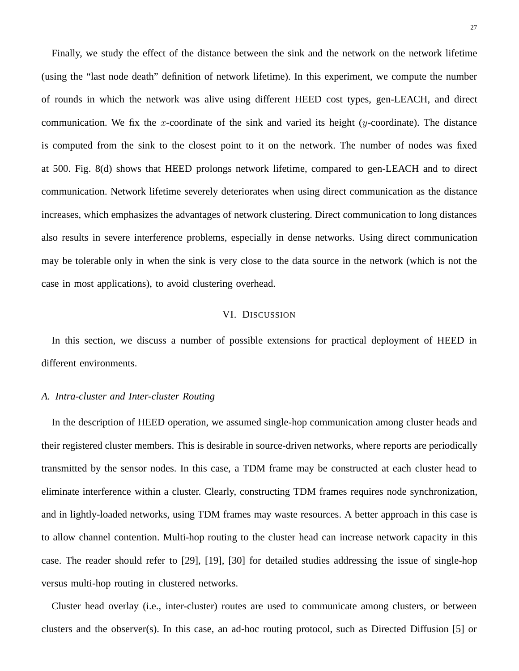Finally, we study the effect of the distance between the sink and the network on the network lifetime (using the "last node death" definition of network lifetime). In this experiment, we compute the number of rounds in which the network was alive using different HEED cost types, gen-LEACH, and direct communication. We fix the x-coordinate of the sink and varied its height (y-coordinate). The distance is computed from the sink to the closest point to it on the network. The number of nodes was fixed at 500. Fig. 8(d) shows that HEED prolongs network lifetime, compared to gen-LEACH and to direct communication. Network lifetime severely deteriorates when using direct communication as the distance increases, which emphasizes the advantages of network clustering. Direct communication to long distances also results in severe interference problems, especially in dense networks. Using direct communication may be tolerable only in when the sink is very close to the data source in the network (which is not the case in most applications), to avoid clustering overhead.

## VI. DISCUSSION

In this section, we discuss a number of possible extensions for practical deployment of HEED in different environments.

# *A. Intra-cluster and Inter-cluster Routing*

In the description of HEED operation, we assumed single-hop communication among cluster heads and their registered cluster members. This is desirable in source-driven networks, where reports are periodically transmitted by the sensor nodes. In this case, a TDM frame may be constructed at each cluster head to eliminate interference within a cluster. Clearly, constructing TDM frames requires node synchronization, and in lightly-loaded networks, using TDM frames may waste resources. A better approach in this case is to allow channel contention. Multi-hop routing to the cluster head can increase network capacity in this case. The reader should refer to [29], [19], [30] for detailed studies addressing the issue of single-hop versus multi-hop routing in clustered networks.

Cluster head overlay (i.e., inter-cluster) routes are used to communicate among clusters, or between clusters and the observer(s). In this case, an ad-hoc routing protocol, such as Directed Diffusion [5] or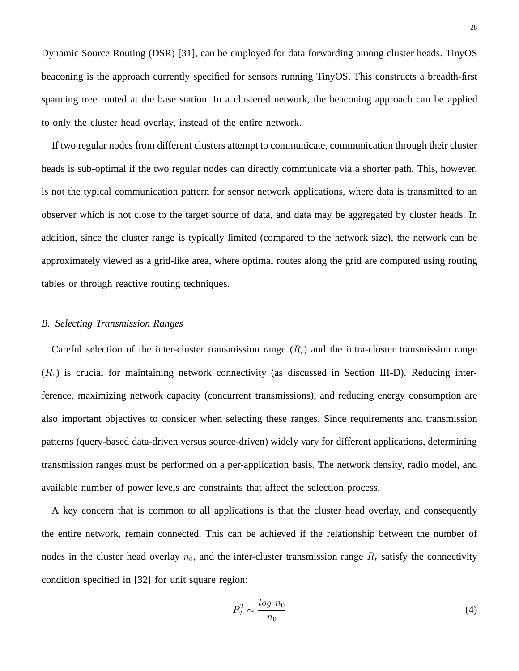Dynamic Source Routing (DSR) [31], can be employed for data forwarding among cluster heads. TinyOS beaconing is the approach currently specified for sensors running TinyOS. This constructs a breadth-first spanning tree rooted at the base station. In a clustered network, the beaconing approach can be applied to only the cluster head overlay, instead of the entire network.

If two regular nodes from different clusters attempt to communicate, communication through their cluster heads is sub-optimal if the two regular nodes can directly communicate via a shorter path. This, however, is not the typical communication pattern for sensor network applications, where data is transmitted to an observer which is not close to the target source of data, and data may be aggregated by cluster heads. In addition, since the cluster range is typically limited (compared to the network size), the network can be approximately viewed as a grid-like area, where optimal routes along the grid are computed using routing tables or through reactive routing techniques.

# *B. Selecting Transmission Ranges*

Careful selection of the inter-cluster transmission range  $(R_t)$  and the intra-cluster transmission range  $(R<sub>c</sub>)$  is crucial for maintaining network connectivity (as discussed in Section III-D). Reducing interference, maximizing network capacity (concurrent transmissions), and reducing energy consumption are also important objectives to consider when selecting these ranges. Since requirements and transmission patterns (query-based data-driven versus source-driven) widely vary for different applications, determining transmission ranges must be performed on a per-application basis. The network density, radio model, and available number of power levels are constraints that affect the selection process.

A key concern that is common to all applications is that the cluster head overlay, and consequently the entire network, remain connected. This can be achieved if the relationship between the number of nodes in the cluster head overlay  $n_0$ , and the inter-cluster transmission range  $R_t$  satisfy the connectivity condition specified in [32] for unit square region:

$$
R_t^2 \sim \frac{\log n_0}{n_0} \tag{4}
$$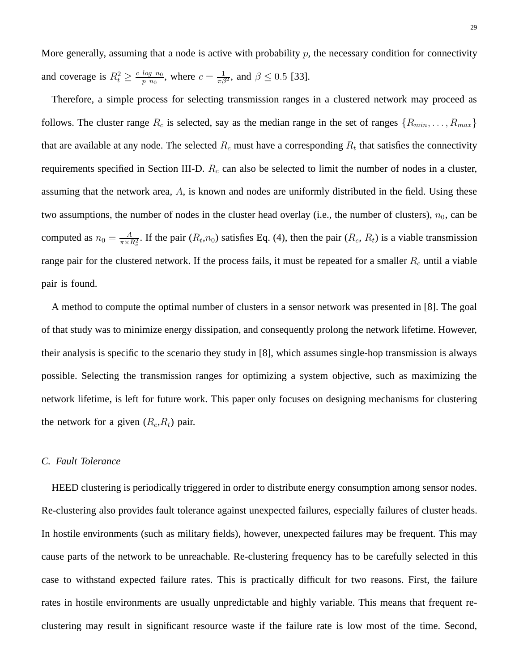More generally, assuming that a node is active with probability  $p$ , the necessary condition for connectivity and coverage is  $R_t^2 \ge \frac{c \log n_0}{p \cdot n_0}$ , where  $c = \frac{1}{\pi \beta^2}$ , and  $\beta \le 0.5$  [33].

Therefore, a simple process for selecting transmission ranges in a clustered network may proceed as follows. The cluster range  $R_c$  is selected, say as the median range in the set of ranges  $\{R_{min},\ldots,R_{max}\}$ that are available at any node. The selected  $R_c$  must have a corresponding  $R_t$  that satisfies the connectivity requirements specified in Section III-D.  $R_c$  can also be selected to limit the number of nodes in a cluster, assuming that the network area, A, is known and nodes are uniformly distributed in the field. Using these two assumptions, the number of nodes in the cluster head overlay (i.e., the number of clusters),  $n_0$ , can be computed as  $n_0 = \frac{A}{\pi \times R_c^2}$ . If the pair  $(R_t, n_0)$  satisfies Eq. (4), then the pair  $(R_c, R_t)$  is a viable transmission range pair for the clustered network. If the process fails, it must be repeated for a smaller  $R_c$  until a viable pair is found.

A method to compute the optimal number of clusters in a sensor network was presented in [8]. The goal of that study was to minimize energy dissipation, and consequently prolong the network lifetime. However, their analysis is specific to the scenario they study in [8], which assumes single-hop transmission is always possible. Selecting the transmission ranges for optimizing a system objective, such as maximizing the network lifetime, is left for future work. This paper only focuses on designing mechanisms for clustering the network for a given  $(R_c, R_t)$  pair.

# *C. Fault Tolerance*

HEED clustering is periodically triggered in order to distribute energy consumption among sensor nodes. Re-clustering also provides fault tolerance against unexpected failures, especially failures of cluster heads. In hostile environments (such as military fields), however, unexpected failures may be frequent. This may cause parts of the network to be unreachable. Re-clustering frequency has to be carefully selected in this case to withstand expected failure rates. This is practically difficult for two reasons. First, the failure rates in hostile environments are usually unpredictable and highly variable. This means that frequent reclustering may result in significant resource waste if the failure rate is low most of the time. Second,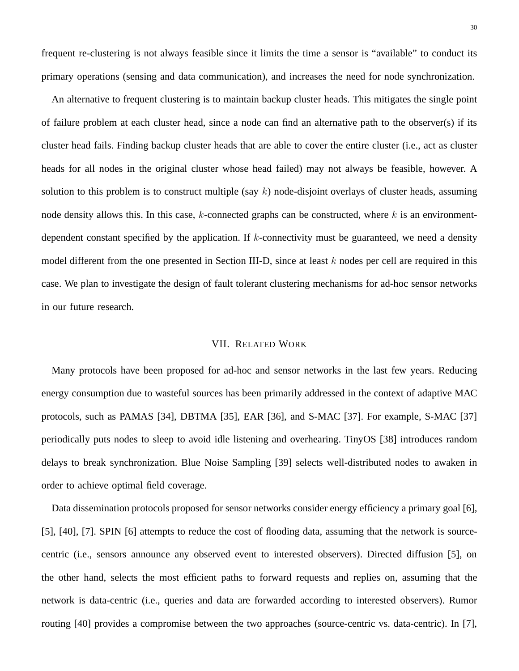frequent re-clustering is not always feasible since it limits the time a sensor is "available" to conduct its primary operations (sensing and data communication), and increases the need for node synchronization.

An alternative to frequent clustering is to maintain backup cluster heads. This mitigates the single point of failure problem at each cluster head, since a node can find an alternative path to the observer(s) if its cluster head fails. Finding backup cluster heads that are able to cover the entire cluster (i.e., act as cluster heads for all nodes in the original cluster whose head failed) may not always be feasible, however. A solution to this problem is to construct multiple (say  $k$ ) node-disjoint overlays of cluster heads, assuming node density allows this. In this case, k-connected graphs can be constructed, where  $k$  is an environmentdependent constant specified by the application. If  $k$ -connectivity must be guaranteed, we need a density model different from the one presented in Section III-D, since at least  $k$  nodes per cell are required in this case. We plan to investigate the design of fault tolerant clustering mechanisms for ad-hoc sensor networks in our future research.

# VII. RELATED WORK

Many protocols have been proposed for ad-hoc and sensor networks in the last few years. Reducing energy consumption due to wasteful sources has been primarily addressed in the context of adaptive MAC protocols, such as PAMAS [34], DBTMA [35], EAR [36], and S-MAC [37]. For example, S-MAC [37] periodically puts nodes to sleep to avoid idle listening and overhearing. TinyOS [38] introduces random delays to break synchronization. Blue Noise Sampling [39] selects well-distributed nodes to awaken in order to achieve optimal field coverage.

Data dissemination protocols proposed for sensor networks consider energy efficiency a primary goal [6], [5], [40], [7]. SPIN [6] attempts to reduce the cost of flooding data, assuming that the network is sourcecentric (i.e., sensors announce any observed event to interested observers). Directed diffusion [5], on the other hand, selects the most efficient paths to forward requests and replies on, assuming that the network is data-centric (i.e., queries and data are forwarded according to interested observers). Rumor routing [40] provides a compromise between the two approaches (source-centric vs. data-centric). In [7],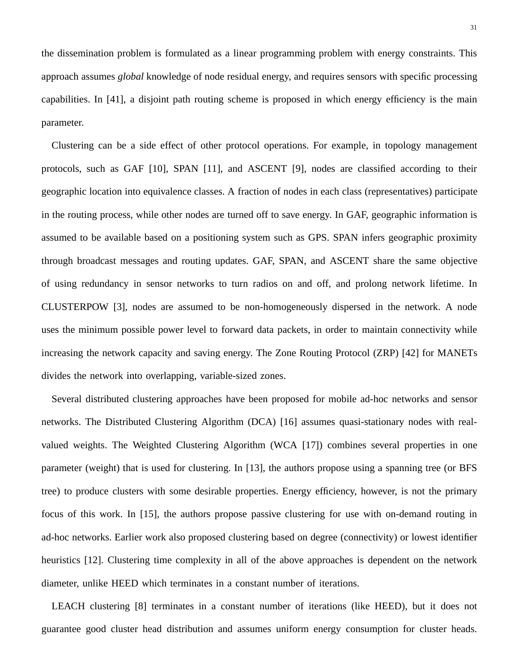the dissemination problem is formulated as a linear programming problem with energy constraints. This approach assumes *global* knowledge of node residual energy, and requires sensors with specific processing capabilities. In [41], a disjoint path routing scheme is proposed in which energy efficiency is the main parameter.

Clustering can be a side effect of other protocol operations. For example, in topology management protocols, such as GAF [10], SPAN [11], and ASCENT [9], nodes are classified according to their geographic location into equivalence classes. A fraction of nodes in each class (representatives) participate in the routing process, while other nodes are turned off to save energy. In GAF, geographic information is assumed to be available based on a positioning system such as GPS. SPAN infers geographic proximity through broadcast messages and routing updates. GAF, SPAN, and ASCENT share the same objective of using redundancy in sensor networks to turn radios on and off, and prolong network lifetime. In CLUSTERPOW [3], nodes are assumed to be non-homogeneously dispersed in the network. A node uses the minimum possible power level to forward data packets, in order to maintain connectivity while increasing the network capacity and saving energy. The Zone Routing Protocol (ZRP) [42] for MANETs divides the network into overlapping, variable-sized zones.

Several distributed clustering approaches have been proposed for mobile ad-hoc networks and sensor networks. The Distributed Clustering Algorithm (DCA) [16] assumes quasi-stationary nodes with realvalued weights. The Weighted Clustering Algorithm (WCA [17]) combines several properties in one parameter (weight) that is used for clustering. In [13], the authors propose using a spanning tree (or BFS tree) to produce clusters with some desirable properties. Energy efficiency, however, is not the primary focus of this work. In [15], the authors propose passive clustering for use with on-demand routing in ad-hoc networks. Earlier work also proposed clustering based on degree (connectivity) or lowest identifier heuristics [12]. Clustering time complexity in all of the above approaches is dependent on the network diameter, unlike HEED which terminates in a constant number of iterations.

LEACH clustering [8] terminates in a constant number of iterations (like HEED), but it does not guarantee good cluster head distribution and assumes uniform energy consumption for cluster heads.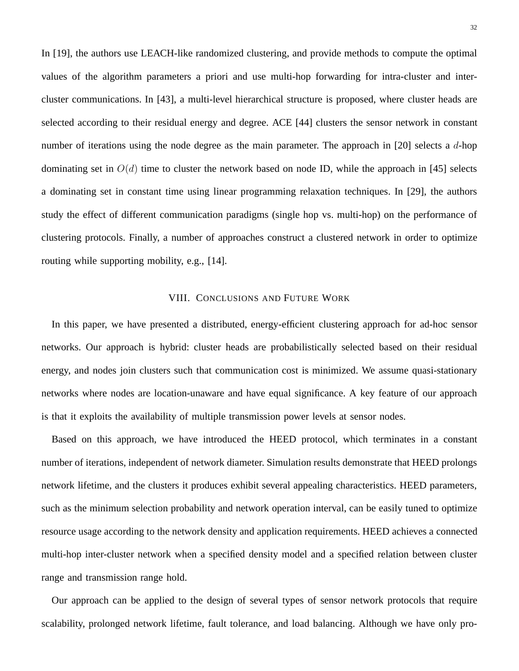In [19], the authors use LEACH-like randomized clustering, and provide methods to compute the optimal values of the algorithm parameters a priori and use multi-hop forwarding for intra-cluster and intercluster communications. In [43], a multi-level hierarchical structure is proposed, where cluster heads are selected according to their residual energy and degree. ACE [44] clusters the sensor network in constant number of iterations using the node degree as the main parameter. The approach in [20] selects a d-hop dominating set in  $O(d)$  time to cluster the network based on node ID, while the approach in [45] selects a dominating set in constant time using linear programming relaxation techniques. In [29], the authors study the effect of different communication paradigms (single hop vs. multi-hop) on the performance of clustering protocols. Finally, a number of approaches construct a clustered network in order to optimize routing while supporting mobility, e.g., [14].

## VIII. CONCLUSIONS AND FUTURE WORK

In this paper, we have presented a distributed, energy-efficient clustering approach for ad-hoc sensor networks. Our approach is hybrid: cluster heads are probabilistically selected based on their residual energy, and nodes join clusters such that communication cost is minimized. We assume quasi-stationary networks where nodes are location-unaware and have equal significance. A key feature of our approach is that it exploits the availability of multiple transmission power levels at sensor nodes.

Based on this approach, we have introduced the HEED protocol, which terminates in a constant number of iterations, independent of network diameter. Simulation results demonstrate that HEED prolongs network lifetime, and the clusters it produces exhibit several appealing characteristics. HEED parameters, such as the minimum selection probability and network operation interval, can be easily tuned to optimize resource usage according to the network density and application requirements. HEED achieves a connected multi-hop inter-cluster network when a specified density model and a specified relation between cluster range and transmission range hold.

Our approach can be applied to the design of several types of sensor network protocols that require scalability, prolonged network lifetime, fault tolerance, and load balancing. Although we have only pro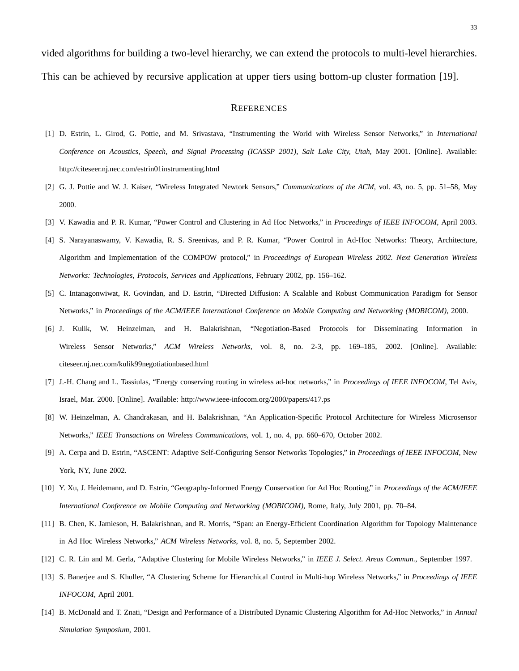vided algorithms for building a two-level hierarchy, we can extend the protocols to multi-level hierarchies. This can be achieved by recursive application at upper tiers using bottom-up cluster formation [19].

## **REFERENCES**

- [1] D. Estrin, L. Girod, G. Pottie, and M. Srivastava, "Instrumenting the World with Wireless Sensor Networks," in *International Conference on Acoustics, Speech, and Signal Processing (ICASSP 2001), Salt Lake City, Utah*, May 2001. [Online]. Available: http://citeseer.nj.nec.com/estrin01instrumenting.html
- [2] G. J. Pottie and W. J. Kaiser, "Wireless Integrated Newtork Sensors," *Communications of the ACM*, vol. 43, no. 5, pp. 51–58, May 2000.
- [3] V. Kawadia and P. R. Kumar, "Power Control and Clustering in Ad Hoc Networks," in *Proceedings of IEEE INFOCOM*, April 2003.
- [4] S. Narayanaswamy, V. Kawadia, R. S. Sreenivas, and P. R. Kumar, "Power Control in Ad-Hoc Networks: Theory, Architecture, Algorithm and Implementation of the COMPOW protocol," in *Proceedings of European Wireless 2002. Next Generation Wireless Networks: Technologies, Protocols, Services and Applications*, February 2002, pp. 156–162.
- [5] C. Intanagonwiwat, R. Govindan, and D. Estrin, "Directed Diffusion: A Scalable and Robust Communication Paradigm for Sensor Networks," in *Proceedings of the ACM/IEEE International Conference on Mobile Computing and Networking (MOBICOM)*, 2000.
- [6] J. Kulik, W. Heinzelman, and H. Balakrishnan, "Negotiation-Based Protocols for Disseminating Information in Wireless Sensor Networks," *ACM Wireless Networks*, vol. 8, no. 2-3, pp. 169–185, 2002. [Online]. Available: citeseer.nj.nec.com/kulik99negotiationbased.html
- [7] J.-H. Chang and L. Tassiulas, "Energy conserving routing in wireless ad-hoc networks," in *Proceedings of IEEE INFOCOM*, Tel Aviv, Israel, Mar. 2000. [Online]. Available: http://www.ieee-infocom.org/2000/papers/417.ps
- [8] W. Heinzelman, A. Chandrakasan, and H. Balakrishnan, "An Application-Specific Protocol Architecture for Wireless Microsensor Networks," *IEEE Transactions on Wireless Communications*, vol. 1, no. 4, pp. 660–670, October 2002.
- [9] A. Cerpa and D. Estrin, "ASCENT: Adaptive Self-Configuring Sensor Networks Topologies," in *Proceedings of IEEE INFOCOM*, New York, NY, June 2002.
- [10] Y. Xu, J. Heidemann, and D. Estrin, "Geography-Informed Energy Conservation for Ad Hoc Routing," in *Proceedings of the ACM/IEEE International Conference on Mobile Computing and Networking (MOBICOM)*, Rome, Italy, July 2001, pp. 70–84.
- [11] B. Chen, K. Jamieson, H. Balakrishnan, and R. Morris, "Span: an Energy-Efficient Coordination Algorithm for Topology Maintenance in Ad Hoc Wireless Networks," *ACM Wireless Networks*, vol. 8, no. 5, September 2002.
- [12] C. R. Lin and M. Gerla, "Adaptive Clustering for Mobile Wireless Networks," in *IEEE J. Select. Areas Commun.*, September 1997.
- [13] S. Banerjee and S. Khuller, "A Clustering Scheme for Hierarchical Control in Multi-hop Wireless Networks," in *Proceedings of IEEE INFOCOM*, April 2001.
- [14] B. McDonald and T. Znati, "Design and Performance of a Distributed Dynamic Clustering Algorithm for Ad-Hoc Networks," in *Annual Simulation Symposium*, 2001.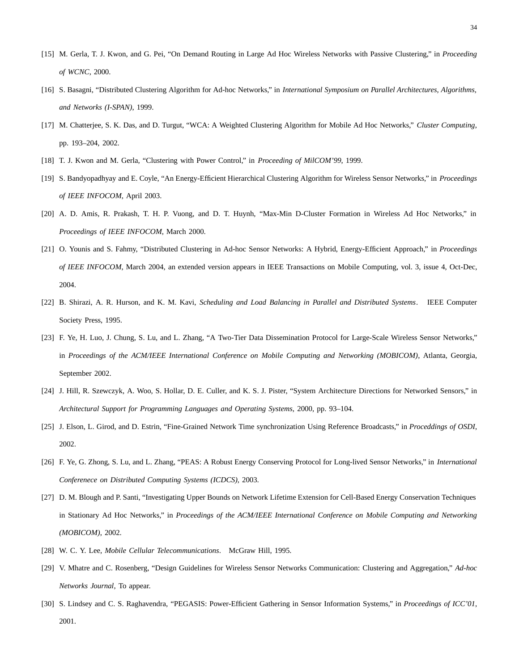- [15] M. Gerla, T. J. Kwon, and G. Pei, "On Demand Routing in Large Ad Hoc Wireless Networks with Passive Clustering," in *Proceeding of WCNC*, 2000.
- [16] S. Basagni, "Distributed Clustering Algorithm for Ad-hoc Networks," in *International Symposium on Parallel Architectures, Algorithms, and Networks (I-SPAN)*, 1999.
- [17] M. Chatterjee, S. K. Das, and D. Turgut, "WCA: A Weighted Clustering Algorithm for Mobile Ad Hoc Networks," *Cluster Computing*, pp. 193–204, 2002.
- [18] T. J. Kwon and M. Gerla, "Clustering with Power Control," in *Proceeding of MilCOM'99*, 1999.
- [19] S. Bandyopadhyay and E. Coyle, "An Energy-Efficient Hierarchical Clustering Algorithm for Wireless Sensor Networks," in *Proceedings of IEEE INFOCOM*, April 2003.
- [20] A. D. Amis, R. Prakash, T. H. P. Vuong, and D. T. Huynh, "Max-Min D-Cluster Formation in Wireless Ad Hoc Networks," in *Proceedings of IEEE INFOCOM*, March 2000.
- [21] O. Younis and S. Fahmy, "Distributed Clustering in Ad-hoc Sensor Networks: A Hybrid, Energy-Efficient Approach," in *Proceedings of IEEE INFOCOM*, March 2004, an extended version appears in IEEE Transactions on Mobile Computing, vol. 3, issue 4, Oct-Dec, 2004.
- [22] B. Shirazi, A. R. Hurson, and K. M. Kavi, *Scheduling and Load Balancing in Parallel and Distributed Systems*. IEEE Computer Society Press, 1995.
- [23] F. Ye, H. Luo, J. Chung, S. Lu, and L. Zhang, "A Two-Tier Data Dissemination Protocol for Large-Scale Wireless Sensor Networks," in *Proceedings of the ACM/IEEE International Conference on Mobile Computing and Networking (MOBICOM)*, Atlanta, Georgia, September 2002.
- [24] J. Hill, R. Szewczyk, A. Woo, S. Hollar, D. E. Culler, and K. S. J. Pister, "System Architecture Directions for Networked Sensors," in *Architectural Support for Programming Languages and Operating Systems*, 2000, pp. 93–104.
- [25] J. Elson, L. Girod, and D. Estrin, "Fine-Grained Network Time synchronization Using Reference Broadcasts," in *Proceddings of OSDI*, 2002.
- [26] F. Ye, G. Zhong, S. Lu, and L. Zhang, "PEAS: A Robust Energy Conserving Protocol for Long-lived Sensor Networks," in *International Conferenece on Distributed Computing Systems (ICDCS)*, 2003.
- [27] D. M. Blough and P. Santi, "Investigating Upper Bounds on Network Lifetime Extension for Cell-Based Energy Conservation Techniques in Stationary Ad Hoc Networks," in *Proceedings of the ACM/IEEE International Conference on Mobile Computing and Networking (MOBICOM)*, 2002.
- [28] W. C. Y. Lee, *Mobile Cellular Telecommunications*. McGraw Hill, 1995.
- [29] V. Mhatre and C. Rosenberg, "Design Guidelines for Wireless Sensor Networks Communication: Clustering and Aggregation," *Ad-hoc Networks Journal*, To appear.
- [30] S. Lindsey and C. S. Raghavendra, "PEGASIS: Power-Efficient Gathering in Sensor Information Systems," in *Proceedings of ICC'01*, 2001.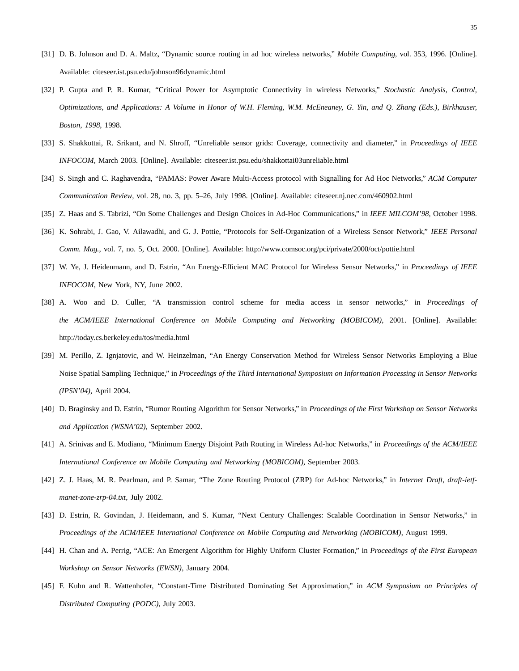- [31] D. B. Johnson and D. A. Maltz, "Dynamic source routing in ad hoc wireless networks," *Mobile Computing*, vol. 353, 1996. [Online]. Available: citeseer.ist.psu.edu/johnson96dynamic.html
- [32] P. Gupta and P. R. Kumar, "Critical Power for Asymptotic Connectivity in wireless Networks," *Stochastic Analysis, Control, Optimizations, and Applications: A Volume in Honor of W.H. Fleming, W.M. McEneaney, G. Yin, and Q. Zhang (Eds.), Birkhauser, Boston, 1998*, 1998.
- [33] S. Shakkottai, R. Srikant, and N. Shroff, "Unreliable sensor grids: Coverage, connectivity and diameter," in *Proceedings of IEEE INFOCOM*, March 2003. [Online]. Available: citeseer.ist.psu.edu/shakkottai03unreliable.html
- [34] S. Singh and C. Raghavendra, "PAMAS: Power Aware Multi-Access protocol with Signalling for Ad Hoc Networks," *ACM Computer Communication Review*, vol. 28, no. 3, pp. 5–26, July 1998. [Online]. Available: citeseer.nj.nec.com/460902.html
- [35] Z. Haas and S. Tabrizi, "On Some Challenges and Design Choices in Ad-Hoc Communications," in *IEEE MILCOM'98*, October 1998.
- [36] K. Sohrabi, J. Gao, V. Ailawadhi, and G. J. Pottie, "Protocols for Self-Organization of a Wireless Sensor Network," *IEEE Personal Comm. Mag.*, vol. 7, no. 5, Oct. 2000. [Online]. Available: http://www.comsoc.org/pci/private/2000/oct/pottie.html
- [37] W. Ye, J. Heidenmann, and D. Estrin, "An Energy-Efficient MAC Protocol for Wireless Sensor Networks," in *Proceedings of IEEE INFOCOM*, New York, NY, June 2002.
- [38] A. Woo and D. Culler, "A transmission control scheme for media access in sensor networks," in *Proceedings of the ACM/IEEE International Conference on Mobile Computing and Networking (MOBICOM)*, 2001. [Online]. Available: http://today.cs.berkeley.edu/tos/media.html
- [39] M. Perillo, Z. Ignjatovic, and W. Heinzelman, "An Energy Conservation Method for Wireless Sensor Networks Employing a Blue Noise Spatial Sampling Technique," in *Proceedings of the Third International Symposium on Information Processing in Sensor Networks (IPSN'04)*, April 2004.
- [40] D. Braginsky and D. Estrin, "Rumor Routing Algorithm for Sensor Networks," in *Proceedings of the First Workshop on Sensor Networks and Application (WSNA'02)*, September 2002.
- [41] A. Srinivas and E. Modiano, "Minimum Energy Disjoint Path Routing in Wireless Ad-hoc Networks," in *Proceedings of the ACM/IEEE International Conference on Mobile Computing and Networking (MOBICOM)*, September 2003.
- [42] Z. J. Haas, M. R. Pearlman, and P. Samar, "The Zone Routing Protocol (ZRP) for Ad-hoc Networks," in *Internet Draft, draft-ietfmanet-zone-zrp-04.txt*, July 2002.
- [43] D. Estrin, R. Govindan, J. Heidemann, and S. Kumar, "Next Century Challenges: Scalable Coordination in Sensor Networks," in *Proceedings of the ACM/IEEE International Conference on Mobile Computing and Networking (MOBICOM)*, August 1999.
- [44] H. Chan and A. Perrig, "ACE: An Emergent Algorithm for Highly Uniform Cluster Formation," in *Proceedings of the First European Workshop on Sensor Networks (EWSN)*, January 2004.
- [45] F. Kuhn and R. Wattenhofer, "Constant-Time Distributed Dominating Set Approximation," in *ACM Symposium on Principles of Distributed Computing (PODC)*, July 2003.